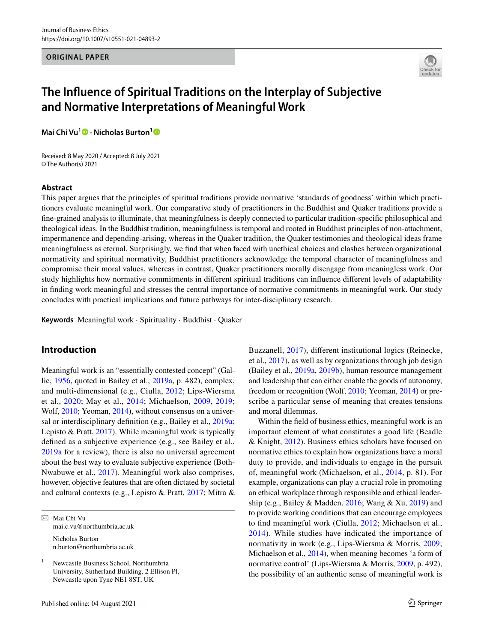### **ORIGINAL PAPER**



# **The Infuence of Spiritual Traditions on the Interplay of Subjective and Normative Interpretations of Meaningful Work**

**Mai Chi Vu<sup>[1](http://orcid.org/0000-0003-3140-9776)</sup> <b>D** [·](http://orcid.org/0000-0003-3492-6496) Nicholas Burton<sup>1</sup> **D** 

Received: 8 May 2020 / Accepted: 8 July 2021 © The Author(s) 2021

## **Abstract**

This paper argues that the principles of spiritual traditions provide normative 'standards of goodness' within which practitioners evaluate meaningful work. Our comparative study of practitioners in the Buddhist and Quaker traditions provide a fne-grained analysis to illuminate, that meaningfulness is deeply connected to particular tradition-specifc philosophical and theological ideas. In the Buddhist tradition, meaningfulness is temporal and rooted in Buddhist principles of non-attachment, impermanence and depending-arising, whereas in the Quaker tradition, the Quaker testimonies and theological ideas frame meaningfulness as eternal. Surprisingly, we fnd that when faced with unethical choices and clashes between organizational normativity and spiritual normativity, Buddhist practitioners acknowledge the temporal character of meaningfulness and compromise their moral values, whereas in contrast, Quaker practitioners morally disengage from meaningless work. Our study highlights how normative commitments in diferent spiritual traditions can infuence diferent levels of adaptability in fnding work meaningful and stresses the central importance of normative commitments in meaningful work. Our study concludes with practical implications and future pathways for inter-disciplinary research.

**Keywords** Meaningful work · Spirituality · Buddhist · Quaker

# **Introduction**

Meaningful work is an "essentially contested concept" (Gallie, [1956,](#page-22-0) quoted in Bailey et al., [2019a](#page-21-0), p. 482), complex, and multi-dimensional (e.g., Ciulla, [2012;](#page-22-1) Lips-Wiersma et al., [2020;](#page-22-2) May et al., [2014;](#page-22-3) Michaelson, [2009](#page-22-4), [2019](#page-22-5); Wolf, [2010;](#page-23-0) Yeoman, [2014](#page-23-1)), without consensus on a universal or interdisciplinary defnition (e.g., Bailey et al., [2019a](#page-21-0); Lepisto & Pratt, [2017](#page-22-6)). While meaningful work is typically defned as a subjective experience (e.g., see Bailey et al., [2019a](#page-21-0) for a review), there is also no universal agreement about the best way to evaluate subjective experience (Both-Nwabuwe et al., [2017\)](#page-21-1). Meaningful work also comprises, however, objective features that are often dictated by societal and cultural contexts (e.g., Lepisto & Pratt, [2017](#page-22-6); Mitra &

 $\boxtimes$  Mai Chi Vu mai.c.vu@northumbria.ac.uk Nicholas Burton n.burton@northumbria.ac.uk

<sup>1</sup> Newcastle Business School, Northumbria University, Sutherland Building, 2 Ellison Pl, Newcastle upon Tyne NE1 8ST, UK

Buzzanell, [2017](#page-23-2)), diferent institutional logics (Reinecke, et al., [2017\)](#page-23-3), as well as by organizations through job design (Bailey et al., [2019a,](#page-21-0) [2019b\)](#page-21-2), human resource management and leadership that can either enable the goods of autonomy, freedom or recognition (Wolf, [2010;](#page-23-0) Yeoman, [2014\)](#page-23-1) or prescribe a particular sense of meaning that creates tensions and moral dilemmas.

Within the feld of business ethics, meaningful work is an important element of what constitutes a good life (Beadle & Knight, [2012](#page-21-3)). Business ethics scholars have focused on normative ethics to explain how organizations have a moral duty to provide, and individuals to engage in the pursuit of, meaningful work (Michaelson, et al., [2014](#page-23-4), p. 81). For example, organizations can play a crucial role in promoting an ethical workplace through responsible and ethical leadership (e.g., Bailey & Madden,  $2016$ ; Wang & Xu,  $2019$ ) and to provide working conditions that can encourage employees to fnd meaningful work (Ciulla, [2012;](#page-22-1) Michaelson et al., [2014](#page-23-4)). While studies have indicated the importance of normativity in work (e.g., Lips-Wiersma & Morris, [2009](#page-22-7); Michaelson et al., [2014\)](#page-23-4), when meaning becomes 'a form of normative control' (Lips-Wiersma & Morris, [2009,](#page-22-7) p. 492), the possibility of an authentic sense of meaningful work is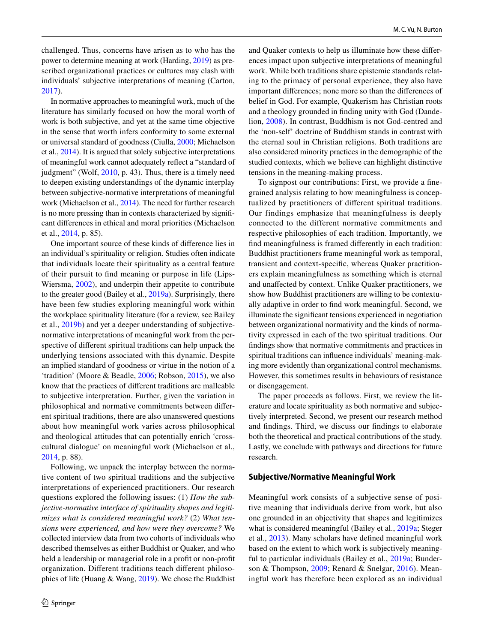challenged. Thus, concerns have arisen as to who has the power to determine meaning at work (Harding, [2019](#page-22-8)) as prescribed organizational practices or cultures may clash with individuals' subjective interpretations of meaning (Carton, [2017](#page-21-5)).

In normative approaches to meaningful work, much of the literature has similarly focused on how the moral worth of work is both subjective, and yet at the same time objective in the sense that worth infers conformity to some external or universal standard of goodness (Ciulla, [2000](#page-21-6); Michaelson et al., [2014](#page-23-4)). It is argued that solely subjective interpretations of meaningful work cannot adequately refect a "standard of judgment" (Wolf, [2010,](#page-23-0) p. 43). Thus, there is a timely need to deepen existing understandings of the dynamic interplay between subjective-normative interpretations of meaningful work (Michaelson et al., [2014\)](#page-23-4). The need for further research is no more pressing than in contexts characterized by signifcant diferences in ethical and moral priorities (Michaelson et al., [2014,](#page-23-4) p. 85).

One important source of these kinds of diference lies in an individual's spirituality or religion. Studies often indicate that individuals locate their spirituality as a central feature of their pursuit to fnd meaning or purpose in life (Lips-Wiersma, [2002\)](#page-22-9), and underpin their appetite to contribute to the greater good (Bailey et al., [2019a](#page-21-0)). Surprisingly, there have been few studies exploring meaningful work within the workplace spirituality literature (for a review, see Bailey et al., [2019b\)](#page-21-2) and yet a deeper understanding of subjectivenormative interpretations of meaningful work from the perspective of diferent spiritual traditions can help unpack the underlying tensions associated with this dynamic. Despite an implied standard of goodness or virtue in the notion of a 'tradition' (Moore & Beadle, [2006;](#page-23-6) Robson, [2015\)](#page-23-7), we also know that the practices of diferent traditions are malleable to subjective interpretation. Further, given the variation in philosophical and normative commitments between diferent spiritual traditions, there are also unanswered questions about how meaningful work varies across philosophical and theological attitudes that can potentially enrich 'crosscultural dialogue' on meaningful work (Michaelson et al., [2014](#page-23-4), p. 88).

Following, we unpack the interplay between the normative content of two spiritual traditions and the subjective interpretations of experienced practitioners. Our research questions explored the following issues: (1) *How the subjective-normative interface of spirituality shapes and legitimizes what is considered meaningful work?* (2) *What tensions were experienced, and how were they overcome?* We collected interview data from two cohorts of individuals who described themselves as either Buddhist or Quaker, and who held a leadership or managerial role in a proft or non-proft organization. Diferent traditions teach diferent philosophies of life (Huang & Wang, [2019](#page-22-10)). We chose the Buddhist and Quaker contexts to help us illuminate how these diferences impact upon subjective interpretations of meaningful work. While both traditions share epistemic standards relating to the primacy of personal experience, they also have important diferences; none more so than the diferences of belief in God. For example, Quakerism has Christian roots and a theology grounded in fnding unity with God (Dandelion, [2008\)](#page-22-11). In contrast, Buddhism is not God-centred and the 'non-self' doctrine of Buddhism stands in contrast with the eternal soul in Christian religions. Both traditions are also considered minority practices in the demographic of the studied contexts, which we believe can highlight distinctive tensions in the meaning-making process.

To signpost our contributions: First, we provide a fnegrained analysis relating to how meaningfulness is conceptualized by practitioners of diferent spiritual traditions. Our findings emphasize that meaningfulness is deeply connected to the different normative commitments and respective philosophies of each tradition. Importantly, we fnd meaningfulness is framed diferently in each tradition: Buddhist practitioners frame meaningful work as temporal, transient and context-specifc, whereas Quaker practitioners explain meaningfulness as something which is eternal and unafected by context. Unlike Quaker practitioners, we show how Buddhist practitioners are willing to be contextually adaptive in order to fnd work meaningful. Second, we illuminate the signifcant tensions experienced in negotiation between organizational normativity and the kinds of normativity expressed in each of the two spiritual traditions. Our fndings show that normative commitments and practices in spiritual traditions can infuence individuals' meaning-making more evidently than organizational control mechanisms. However, this sometimes results in behaviours of resistance or disengagement.

The paper proceeds as follows. First, we review the literature and locate spirituality as both normative and subjectively interpreted. Second, we present our research method and fndings. Third, we discuss our fndings to elaborate both the theoretical and practical contributions of the study. Lastly, we conclude with pathways and directions for future research.

## **Subjective/Normative Meaningful Work**

Meaningful work consists of a subjective sense of positive meaning that individuals derive from work, but also one grounded in an objectivity that shapes and legitimizes what is considered meaningful (Bailey et al., [2019a](#page-21-0); Steger et al., [2013](#page-23-8)). Many scholars have defned meaningful work based on the extent to which work is subjectively meaningful to particular individuals (Bailey et al., [2019a](#page-21-0); Bunderson & Thompson, [2009](#page-21-7); Renard & Snelgar, [2016\)](#page-23-9). Meaningful work has therefore been explored as an individual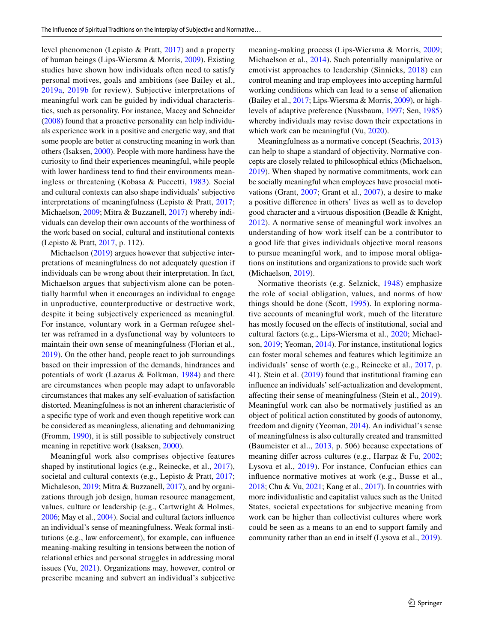level phenomenon (Lepisto & Pratt, [2017\)](#page-22-6) and a property of human beings (Lips-Wiersma & Morris, [2009](#page-22-7)). Existing studies have shown how individuals often need to satisfy personal motives, goals and ambitions (see Bailey et al., [2019a,](#page-21-0) [2019b](#page-21-2) for review). Subjective interpretations of meaningful work can be guided by individual characteristics, such as personality. For instance, Macey and Schneider [\(2008\)](#page-22-12) found that a proactive personality can help individuals experience work in a positive and energetic way, and that some people are better at constructing meaning in work than others (Isaksen, [2000\)](#page-22-13). People with more hardiness have the curiosity to fnd their experiences meaningful, while people with lower hardiness tend to fnd their environments meaningless or threatening (Kobasa & Puccetti, [1983\)](#page-22-14). Social and cultural contexts can also shape individuals' subjective interpretations of meaningfulness (Lepisto & Pratt, [2017](#page-22-6); Michaelson, [2009;](#page-22-4) Mitra & Buzzanell, [2017\)](#page-23-2) whereby individuals can develop their own accounts of the worthiness of the work based on social, cultural and institutional contexts (Lepisto & Pratt, [2017,](#page-22-6) p. 112).

Michaelson [\(2019](#page-22-5)) argues however that subjective interpretations of meaningfulness do not adequately question if individuals can be wrong about their interpretation. In fact, Michaelson argues that subjectivism alone can be potentially harmful when it encourages an individual to engage in unproductive, counterproductive or destructive work, despite it being subjectively experienced as meaningful. For instance, voluntary work in a German refugee shelter was reframed in a dysfunctional way by volunteers to maintain their own sense of meaningfulness (Florian et al., [2019](#page-22-15)). On the other hand, people react to job surroundings based on their impression of the demands, hindrances and potentials of work (Lazarus & Folkman, [1984\)](#page-22-16) and there are circumstances when people may adapt to unfavorable circumstances that makes any self-evaluation of satisfaction distorted. Meaningfulness is not an inherent characteristic of a specifc type of work and even though repetitive work can be considered as meaningless, alienating and dehumanizing (Fromm, [1990\)](#page-22-17), it is still possible to subjectively construct meaning in repetitive work (Isaksen, [2000\)](#page-22-13).

Meaningful work also comprises objective features shaped by institutional logics (e.g., Reinecke, et al., [2017](#page-23-3)), societal and cultural contexts (e.g., Lepisto & Pratt, [2017](#page-22-6); Michaleson, [2019](#page-22-5); Mitra & Buzzanell, [2017](#page-23-2)), and by organizations through job design, human resource management, values, culture or leadership (e.g., Cartwright & Holmes, [2006;](#page-21-8) May et al., [2004\)](#page-22-18). Social and cultural factors infuence an individual's sense of meaningfulness. Weak formal institutions (e.g., law enforcement), for example, can infuence meaning-making resulting in tensions between the notion of relational ethics and personal struggles in addressing moral issues (Vu, [2021](#page-23-10)). Organizations may, however, control or prescribe meaning and subvert an individual's subjective meaning-making process (Lips-Wiersma & Morris, [2009](#page-22-7); Michaelson et al., [2014](#page-23-4)). Such potentially manipulative or emotivist approaches to leadership (Sinnicks, [2018](#page-23-11)) can control meaning and trap employees into accepting harmful working conditions which can lead to a sense of alienation (Bailey et al., [2017](#page-21-9); Lips-Wiersma & Morris, [2009\)](#page-22-7), or highlevels of adaptive preference (Nussbaum, [1997](#page-23-12); Sen, [1985\)](#page-23-13) whereby individuals may revise down their expectations in which work can be meaningful (Vu, [2020](#page-23-14)).

Meaningfulness as a normative concept (Seachris, [2013](#page-23-15)) can help to shape a standard of objectivity. Normative concepts are closely related to philosophical ethics (Michaelson, [2019](#page-22-5)). When shaped by normative commitments, work can be socially meaningful when employees have prosocial motivations (Grant, [2007;](#page-22-19) Grant et al., [2007](#page-22-20)), a desire to make a positive diference in others' lives as well as to develop good character and a virtuous disposition (Beadle & Knight, [2012](#page-21-3)). A normative sense of meaningful work involves an understanding of how work itself can be a contributor to a good life that gives individuals objective moral reasons to pursue meaningful work, and to impose moral obligations on institutions and organizations to provide such work (Michaelson, [2019\)](#page-22-5).

Normative theorists (e.g. Selznick, [1948\)](#page-23-16) emphasize the role of social obligation, values, and norms of how things should be done (Scott, [1995](#page-23-17)). In exploring normative accounts of meaningful work, much of the literature has mostly focused on the efects of institutional, social and cultural factors (e.g., Lips-Wiersma et al., [2020;](#page-22-2) Michaelson, [2019;](#page-22-5) Yeoman, [2014](#page-23-1)). For instance, institutional logics can foster moral schemes and features which legitimize an individuals' sense of worth (e.g., Reinecke et al., [2017](#page-23-3), p. 41). Stein et al. [\(2019](#page-23-18)) found that institutional framing can infuence an individuals' self-actualization and development, afecting their sense of meaningfulness (Stein et al., [2019](#page-23-18)). Meaningful work can also be normatively justifed as an object of political action constituted by goods of autonomy, freedom and dignity (Yeoman, [2014](#page-23-1)). An individual's sense of meaningfulness is also culturally created and transmitted (Baumeister et al.., [2013](#page-21-10), p. 506) because expectations of meaning difer across cultures (e.g., Harpaz & Fu, [2002](#page-22-21); Lysova et al., [2019](#page-22-22)). For instance, Confucian ethics can infuence normative motives at work (e.g., Busse et al., [2018](#page-21-11); Chu & Vu, [2021](#page-21-12); Kang et al., [2017\)](#page-22-23). In countries with more individualistic and capitalist values such as the United States, societal expectations for subjective meaning from work can be higher than collectivist cultures where work could be seen as a means to an end to support family and community rather than an end in itself (Lysova et al., [2019](#page-22-22)).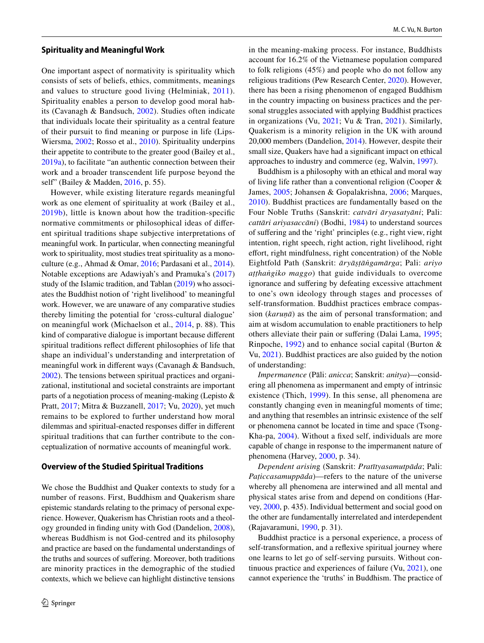## **Spirituality and Meaningful Work**

One important aspect of normativity is spirituality which consists of sets of beliefs, ethics, commitments, meanings and values to structure good living (Helminiak, [2011](#page-22-24)). Spirituality enables a person to develop good moral habits (Cavanagh & Bandsuch, [2002](#page-21-13)). Studies often indicate that individuals locate their spirituality as a central feature of their pursuit to fnd meaning or purpose in life (Lips-Wiersma, [2002](#page-22-9); Rosso et al., [2010\)](#page-23-19). Spirituality underpins their appetite to contribute to the greater good (Bailey et al., [2019a\)](#page-21-0), to facilitate "an authentic connection between their work and a broader transcendent life purpose beyond the self" (Bailey & Madden, [2016](#page-21-4), p. 55).

However, while existing literature regards meaningful work as one element of spirituality at work (Bailey et al., [2019b](#page-21-2)), little is known about how the tradition-specifc normative commitments or philosophical ideas of diferent spiritual traditions shape subjective interpretations of meaningful work. In particular, when connecting meaningful work to spirituality, most studies treat spirituality as a monoculture (e.g., Ahmad & Omar, [2016](#page-21-14); Pardasani et al., [2014](#page-23-20)). Notable exceptions are Adawiyah's and Pramuka's [\(2017\)](#page-21-15) study of the Islamic tradition, and Tablan [\(2019](#page-23-21)) who associates the Buddhist notion of 'right livelihood' to meaningful work. However, we are unaware of any comparative studies thereby limiting the potential for 'cross-cultural dialogue' on meaningful work (Michaelson et al., [2014](#page-23-4), p. 88). This kind of comparative dialogue is important because diferent spiritual traditions refect diferent philosophies of life that shape an individual's understanding and interpretation of meaningful work in diferent ways (Cavanagh & Bandsuch, [2002](#page-21-13)). The tensions between spiritual practices and organizational, institutional and societal constraints are important parts of a negotiation process of meaning-making (Lepisto & Pratt, [2017](#page-22-6); Mitra & Buzzanell, [2017;](#page-23-2) Vu, [2020\)](#page-23-14), yet much remains to be explored to further understand how moral dilemmas and spiritual-enacted responses difer in diferent spiritual traditions that can further contribute to the conceptualization of normative accounts of meaningful work.

### **Overview of the Studied Spiritual Traditions**

We chose the Buddhist and Quaker contexts to study for a number of reasons. First, Buddhism and Quakerism share epistemic standards relating to the primacy of personal experience. However, Quakerism has Christian roots and a theology grounded in fnding unity with God (Dandelion, [2008](#page-22-11)), whereas Buddhism is not God-centred and its philosophy and practice are based on the fundamental understandings of the truths and sources of sufering. Moreover, both traditions are minority practices in the demographic of the studied contexts, which we believe can highlight distinctive tensions

in the meaning-making process. For instance, Buddhists account for 16.2% of the Vietnamese population compared to folk religions (45%) and people who do not follow any religious traditions (Pew Research Center, [2020\)](#page-23-22). However, there has been a rising phenomenon of engaged Buddhism in the country impacting on business practices and the personal struggles associated with applying Buddhist practices in organizations (Vu, [2021;](#page-23-10) Vu & Tran, [2021\)](#page-23-23). Similarly, Quakerism is a minority religion in the UK with around 20,000 members (Dandelion, [2014\)](#page-22-25). However, despite their small size, Quakers have had a signifcant impact on ethical approaches to industry and commerce (eg, Walvin, [1997](#page-23-24)).

Buddhism is a philosophy with an ethical and moral way of living life rather than a conventional religion (Cooper & James, [2005](#page-22-26); Johansen & Gopalakrishna, [2006](#page-22-27); Marques, [2010\)](#page-22-28). Buddhist practices are fundamentally based on the Four Noble Truths (Sanskrit: *catvāri āryasatyāni*; Pali: *cattāri ariyasaccāni*) (Bodhi, [1984](#page-21-16)) to understand sources of sufering and the 'right' principles (e.g., right view, right intention, right speech, right action, right livelihood, right effort, right mindfulness, right concentration) of the Noble Eightfold Path (Sanskrit: *āryāṣṭāṅgamārga*; Pali: *ariyo aṭṭhaṅgiko maggo*) that guide individuals to overcome ignorance and sufering by defeating excessive attachment to one's own ideology through stages and processes of self-transformation. Buddhist practices embrace compassion (*karuṇā*) as the aim of personal transformation; and aim at wisdom accumulation to enable practitioners to help others alleviate their pain or sufering (Dalai Lama, [1995](#page-22-29); Rinpoche, [1992\)](#page-23-25) and to enhance social capital (Burton & Vu, [2021](#page-21-17)). Buddhist practices are also guided by the notion of understanding:

*Impermanence* (Pāli: *anicca*; Sanskrit: *anitya*)—considering all phenomena as impermanent and empty of intrinsic existence (Thich, [1999](#page-23-26)). In this sense, all phenomena are constantly changing even in meaningful moments of time; and anything that resembles an intrinsic existence of the self or phenomena cannot be located in time and space (Tsong-Kha-pa, [2004](#page-23-27)). Without a fxed self, individuals are more capable of change in response to the impermanent nature of phenomena (Harvey, [2000,](#page-22-30) p. 34).

*Dependent arisin*g (Sanskrit: *Pratītyasamutpāda*; Pali: *Paṭiccasamuppāda*)—refers to the nature of the universe whereby all phenomena are interwined and all mental and physical states arise from and depend on conditions (Harvey, [2000](#page-22-30), p. 435). Individual betterment and social good on the other are fundamentally interrelated and interdependent (Rajavaramuni, [1990,](#page-23-28) p. 31).

Buddhist practice is a personal experience, a process of self-transformation, and a refexive spiritual journey where one learns to let go of self-serving pursuits. Without continuous practice and experiences of failure (Vu, [2021](#page-23-10)), one cannot experience the 'truths' in Buddhism. The practice of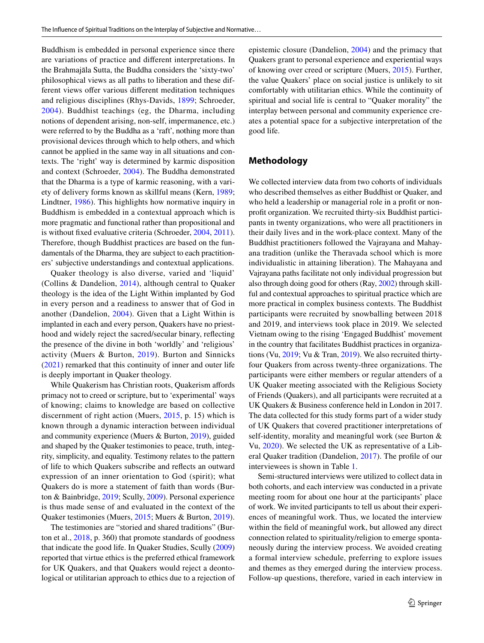Buddhism is embedded in personal experience since there are variations of practice and diferent interpretations. In the Brahmajāla Sutta, the Buddha considers the 'sixty-two' philosophical views as all paths to liberation and these different views offer various different meditation techniques and religious disciplines (Rhys-Davids, [1899](#page-23-29); Schroeder, [2004](#page-23-30)). Buddhist teachings (eg, the Dharma, including notions of dependent arising, non-self, impermanence, etc.) were referred to by the Buddha as a 'raft', nothing more than provisional devices through which to help others, and which cannot be applied in the same way in all situations and contexts. The 'right' way is determined by karmic disposition and context (Schroeder, [2004\)](#page-23-30). The Buddha demonstrated that the Dharma is a type of karmic reasoning, with a variety of delivery forms known as skillful means (Kern, [1989](#page-22-31); Lindtner, [1986\)](#page-22-32). This highlights how normative inquiry in Buddhism is embedded in a contextual approach which is more pragmatic and functional rather than propositional and is without fxed evaluative criteria (Schroeder, [2004](#page-23-30), [2011](#page-23-31)). Therefore, though Buddhist practices are based on the fundamentals of the Dharma, they are subject to each practitioners' subjective understandings and contextual applications.

Quaker theology is also diverse, varied and 'liquid' (Collins & Dandelion, [2014](#page-22-33)), although central to Quaker theology is the idea of the Light Within implanted by God in every person and a readiness to answer that of God in another (Dandelion, [2004](#page-22-34)). Given that a Light Within is implanted in each and every person, Quakers have no priesthood and widely reject the sacred/secular binary, refecting the presence of the divine in both 'worldly' and 'religious' activity (Muers & Burton, [2019](#page-23-32)). Burton and Sinnicks [\(2021\)](#page-21-18) remarked that this continuity of inner and outer life is deeply important in Quaker theology.

While Quakerism has Christian roots, Quakerism afords primacy not to creed or scripture, but to 'experimental' ways of knowing; claims to knowledge are based on collective discernment of right action (Muers, [2015,](#page-23-33) p. 15) which is known through a dynamic interaction between individual and community experience (Muers & Burton, [2019](#page-23-32)), guided and shaped by the Quaker testimonies to peace, truth, integrity, simplicity, and equality. Testimony relates to the pattern of life to which Quakers subscribe and refects an outward expression of an inner orientation to God (spirit); what Quakers do is more a statement of faith than words (Burton & Bainbridge, [2019;](#page-21-19) Scully, [2009\)](#page-23-34). Personal experience is thus made sense of and evaluated in the context of the Quaker testimonies (Muers, [2015;](#page-23-33) Muers & Burton, [2019](#page-23-32)).

The testimonies are "storied and shared traditions" (Burton et al., [2018,](#page-21-20) p. 360) that promote standards of goodness that indicate the good life. In Quaker Studies, Scully ([2009\)](#page-23-34) reported that virtue ethics is the preferred ethical framework for UK Quakers, and that Quakers would reject a deontological or utilitarian approach to ethics due to a rejection of epistemic closure (Dandelion, [2004\)](#page-22-34) and the primacy that Quakers grant to personal experience and experiential ways of knowing over creed or scripture (Muers, [2015](#page-23-33)). Further, the value Quakers' place on social justice is unlikely to sit comfortably with utilitarian ethics. While the continuity of spiritual and social life is central to "Quaker morality" the interplay between personal and community experience creates a potential space for a subjective interpretation of the good life.

# **Methodology**

We collected interview data from two cohorts of individuals who described themselves as either Buddhist or Quaker, and who held a leadership or managerial role in a proft or nonproft organization. We recruited thirty-six Buddhist participants in twenty organizations, who were all practitioners in their daily lives and in the work-place context. Many of the Buddhist practitioners followed the Vajrayana and Mahayana tradition (unlike the Theravada school which is more individualistic in attaining liberation). The Mahayana and Vajrayana paths facilitate not only individual progression but also through doing good for others (Ray, [2002\)](#page-23-35) through skillful and contextual approaches to spiritual practice which are more practical in complex business contexts. The Buddhist participants were recruited by snowballing between 2018 and 2019, and interviews took place in 2019. We selected Vietnam owing to the rising 'Engaged Buddhist' movement in the country that facilitates Buddhist practices in organizations (Vu, [2019](#page-23-14); Vu & Tran, [2019\)](#page-23-23). We also recruited thirtyfour Quakers from across twenty-three organizations. The participants were either members or regular attenders of a UK Quaker meeting associated with the Religious Society of Friends (Quakers), and all participants were recruited at a UK Quakers & Business conference held in London in 2017. The data collected for this study forms part of a wider study of UK Quakers that covered practitioner interpretations of self-identity, morality and meaningful work (see Burton & Vu, [2020\)](#page-21-21). We selected the UK as representative of a Liberal Quaker tradition (Dandelion, [2017\)](#page-22-35). The profle of our interviewees is shown in Table [1.](#page-5-0)

Semi-structured interviews were utilized to collect data in both cohorts, and each interview was conducted in a private meeting room for about one hour at the participants' place of work. We invited participants to tell us about their experiences of meaningful work. Thus, we located the interview within the feld of meaningful work, but allowed any direct connection related to spirituality/religion to emerge spontaneously during the interview process. We avoided creating a formal interview schedule, preferring to explore issues and themes as they emerged during the interview process. Follow-up questions, therefore, varied in each interview in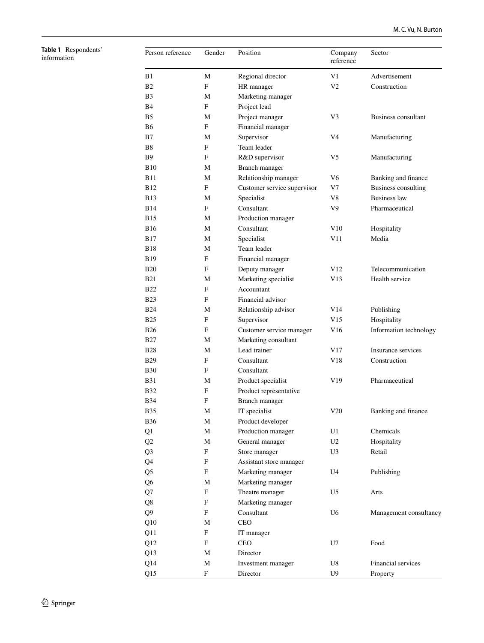<span id="page-5-0"></span>**Table 1** Respondents' information

| Person reference | Gender | Position                    | Company<br>reference | Sector                     |  |
|------------------|--------|-----------------------------|----------------------|----------------------------|--|
| B1               | М      | Regional director           | V1                   | Advertisement              |  |
| B2               | F      | HR manager                  | V2                   | Construction               |  |
| B3               | М      | Marketing manager           |                      |                            |  |
| B4               | F      | Project lead                |                      |                            |  |
| B5               | М      | Project manager             | V3                   | Business consultant        |  |
| В6               | F      | Financial manager           |                      |                            |  |
| B7               | М      | Supervisor                  | V4                   | Manufacturing              |  |
| Β8               | F      | Team leader                 |                      |                            |  |
| В9               | F      | R&D supervisor              | V5                   | Manufacturing              |  |
| B10              | М      | Branch manager              |                      |                            |  |
| B11              | М      | Relationship manager        | V6                   | Banking and finance        |  |
| B12              | F      | Customer service supervisor | V7                   | <b>Business consulting</b> |  |
| B13              | М      | Specialist                  | V8                   | <b>Business law</b>        |  |
| B14              | F      | Consultant                  | V9                   | Pharmaceutical             |  |
| B15              | М      | Production manager          |                      |                            |  |
| B16              | М      | Consultant                  | V10                  | Hospitality                |  |
| B17              | М      | Specialist                  | V11                  | Media                      |  |
| B18              | М      | Team leader                 |                      |                            |  |
| B19              | F      | Financial manager           |                      |                            |  |
| B20              | F      | Deputy manager              | V12                  | Telecommunication          |  |
| B21              | М      | Marketing specialist        | V13                  | Health service             |  |
| <b>B22</b>       | F      | Accountant                  |                      |                            |  |
| <b>B23</b>       | F      | Financial advisor           |                      |                            |  |
| B24              | М      | Relationship advisor        | V14                  | Publishing                 |  |
| <b>B25</b>       | F      | Supervisor                  | V15                  | Hospitality                |  |
| B26              | F      | Customer service manager    | V16                  | Information technology     |  |
| B27              | М      | Marketing consultant        |                      |                            |  |
| <b>B28</b>       | М      | Lead trainer                | V17                  | Insurance services         |  |
| B29              | F      | Consultant                  | V18                  | Construction               |  |
| B30              | F      | Consultant                  |                      |                            |  |
| B31              | М      | Product specialist          | V19                  | Pharmaceutical             |  |
| B32              | F      | Product representative      |                      |                            |  |
| B34              | F      | Branch manager              |                      |                            |  |
| <b>B35</b>       | M      | IT specialist               | V20                  | Banking and finance        |  |
| B36              | M      | Product developer           |                      |                            |  |
| Q1               | M      | Production manager          | U1                   | Chemicals                  |  |
| Q <sub>2</sub>   | M      | General manager             | U <sub>2</sub>       | Hospitality                |  |
| Q3               | F      | Store manager               | U <sub>3</sub>       | Retail                     |  |
| Q4               | F      | Assistant store manager     |                      |                            |  |
| Q5               | F      | Marketing manager           | U4                   | Publishing                 |  |
| Q6               | M      | Marketing manager           |                      |                            |  |
| Q7               | F      | Theatre manager             | U5                   | Arts                       |  |
| Q8               | F      | Marketing manager           |                      |                            |  |
| Q9               | F      | Consultant                  | U <sub>6</sub>       | Management consultancy     |  |
| Q10              | М      | <b>CEO</b>                  |                      |                            |  |
| Q11              | F      | IT manager                  |                      |                            |  |
| Q12              | F      | CEO                         | U7                   | Food                       |  |
| Q13              | M      | Director                    |                      |                            |  |
| Q14              | М      | Investment manager          | U8                   | Financial services         |  |
| Q15              | F      | Director                    | U9                   | Property                   |  |
|                  |        |                             |                      |                            |  |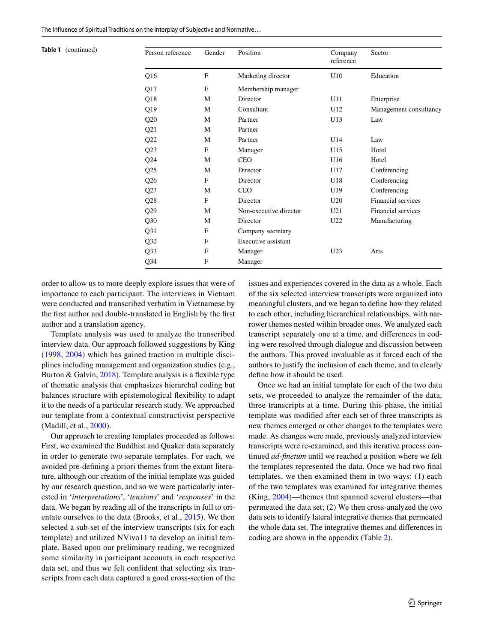| Table 1 (continued) | Person reference | Gender      | Position               | Company<br>reference | Sector                 |
|---------------------|------------------|-------------|------------------------|----------------------|------------------------|
|                     | Q <sub>16</sub>  | $\mathbf F$ | Marketing director     | U10                  | Education              |
|                     | Q17              | F           | Membership manager     |                      |                        |
|                     | Q18              | M           | Director               | U11                  | Enterprise             |
|                     | Q19              | M           | Consultant             | U12                  | Management consultancy |
|                     | Q20              | M           | Partner                | U13                  | Law                    |
|                     | Q21              | M           | Partner                |                      |                        |
|                     | Q22              | M           | Partner                | U14                  | Law                    |
|                     | Q23              | F           | Manager                | U15                  | Hotel                  |
|                     | Q24              | M           | <b>CEO</b>             | U16                  | Hotel                  |
|                     | Q25              | M           | Director               | U17                  | Conferencing           |
|                     | Q26              | F           | Director               | U18                  | Conferencing           |
|                     | Q27              | M           | <b>CEO</b>             | U19                  | Conferencing           |
|                     | Q28              | F           | Director               | U20                  | Financial services     |
|                     | Q29              | M           | Non-executive director | U21                  | Financial services     |
|                     | Q30              | M           | Director               | U22                  | Manufacturing          |
|                     | Q31              | F           | Company secretary      |                      |                        |
|                     | Q <sub>32</sub>  | $\mathbf F$ | Executive assistant    |                      |                        |
|                     | Q33              | F           | Manager                | U <sub>23</sub>      | Arts                   |
|                     | Q <sub>34</sub>  | F           | Manager                |                      |                        |

order to allow us to more deeply explore issues that were of importance to each participant. The interviews in Vietnam were conducted and transcribed verbatim in Vietnamese by the frst author and double-translated in English by the frst author and a translation agency.

Template analysis was used to analyze the transcribed interview data. Our approach followed suggestions by King [\(1998](#page-22-36), [2004](#page-22-37)) which has gained traction in multiple disciplines including management and organization studies (e.g., Burton & Galvin, [2018\)](#page-21-22). Template analysis is a fexible type of thematic analysis that emphasizes hierarchal coding but balances structure with epistemological fexibility to adapt it to the needs of a particular research study. We approached our template from a contextual constructivist perspective (Madill, et al., [2000](#page-22-38)).

Our approach to creating templates proceeded as follows: First, we examined the Buddhist and Quaker data separately in order to generate two separate templates. For each, we avoided pre-defning a priori themes from the extant literature, although our creation of the initial template was guided by our research question, and so we were particularly interested in '*interpretations*', '*tensions*' and '*responses*' in the data. We began by reading all of the transcripts in full to orientate ourselves to the data (Brooks, et al., [2015\)](#page-21-23). We then selected a sub-set of the interview transcripts (six for each template) and utilized NVivo11 to develop an initial template. Based upon our preliminary reading, we recognized some similarity in participant accounts in each respective data set, and thus we felt confident that selecting six transcripts from each data captured a good cross-section of the

issues and experiences covered in the data as a whole. Each of the six selected interview transcripts were organized into meaningful clusters, and we began to defne how they related to each other, including hierarchical relationships, with narrower themes nested within broader ones. We analyzed each transcript separately one at a time, and diferences in coding were resolved through dialogue and discussion between the authors. This proved invaluable as it forced each of the authors to justify the inclusion of each theme, and to clearly defne how it should be used.

Once we had an initial template for each of the two data sets, we proceeded to analyze the remainder of the data, three transcripts at a time. During this phase, the initial template was modifed after each set of three transcripts as new themes emerged or other changes to the templates were made. As changes were made, previously analyzed interview transcripts were re-examined, and this iterative process continued *ad-fnetum* until we reached a position where we felt the templates represented the data. Once we had two fnal templates, we then examined them in two ways: (1) each of the two templates was examined for integrative themes (King, [2004\)](#page-22-37)—themes that spanned several clusters—that permeated the data set; (2) We then cross-analyzed the two data sets to identify lateral integrative themes that permeated the whole data set. The integrative themes and diferences in coding are shown in the appendix (Table 2).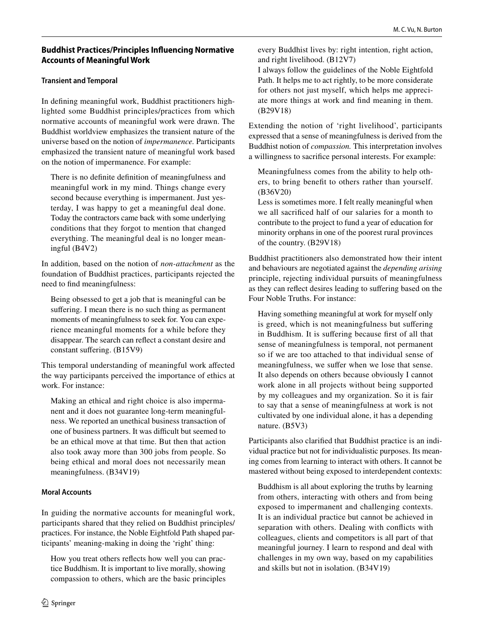# **Buddhist Practices/Principles Infuencing Normative Accounts of Meaningful Work**

# **Transient and Temporal**

In defning meaningful work, Buddhist practitioners highlighted some Buddhist principles/practices from which normative accounts of meaningful work were drawn. The Buddhist worldview emphasizes the transient nature of the universe based on the notion of *impermanence.* Participants emphasized the transient nature of meaningful work based on the notion of impermanence. For example:

There is no defnite defnition of meaningfulness and meaningful work in my mind. Things change every second because everything is impermanent. Just yesterday, I was happy to get a meaningful deal done. Today the contractors came back with some underlying conditions that they forgot to mention that changed everything. The meaningful deal is no longer meaningful (B4V2)

In addition, based on the notion of *non-attachment* as the foundation of Buddhist practices, participants rejected the need to fnd meaningfulness:

Being obsessed to get a job that is meaningful can be suffering. I mean there is no such thing as permanent moments of meaningfulness to seek for. You can experience meaningful moments for a while before they disappear. The search can refect a constant desire and constant suffering. (B15V9)

This temporal understanding of meaningful work afected the way participants perceived the importance of ethics at work. For instance:

Making an ethical and right choice is also impermanent and it does not guarantee long-term meaningfulness. We reported an unethical business transaction of one of business partners. It was difficult but seemed to be an ethical move at that time. But then that action also took away more than 300 jobs from people. So being ethical and moral does not necessarily mean meaningfulness. (B34V19)

# **Moral Accounts**

In guiding the normative accounts for meaningful work, participants shared that they relied on Buddhist principles/ practices. For instance, the Noble Eightfold Path shaped participants' meaning-making in doing the 'right' thing:

How you treat others refects how well you can practice Buddhism. It is important to live morally, showing compassion to others, which are the basic principles every Buddhist lives by: right intention, right action, and right livelihood. (B12V7)

I always follow the guidelines of the Noble Eightfold Path. It helps me to act rightly, to be more considerate for others not just myself, which helps me appreciate more things at work and fnd meaning in them. (B29V18)

Extending the notion of 'right livelihood', participants expressed that a sense of meaningfulness is derived from the Buddhist notion of *compassion.* This interpretation involves a willingness to sacrifce personal interests. For example:

Meaningfulness comes from the ability to help others, to bring beneft to others rather than yourself. (B36V20)

Less is sometimes more. I felt really meaningful when we all sacrifced half of our salaries for a month to contribute to the project to fund a year of education for minority orphans in one of the poorest rural provinces of the country. (B29V18)

Buddhist practitioners also demonstrated how their intent and behaviours are negotiated against the *depending arising* principle, rejecting individual pursuits of meaningfulness as they can refect desires leading to sufering based on the Four Noble Truths. For instance:

Having something meaningful at work for myself only is greed, which is not meaningfulness but suffering in Buddhism. It is sufering because frst of all that sense of meaningfulness is temporal, not permanent so if we are too attached to that individual sense of meaningfulness, we suffer when we lose that sense. It also depends on others because obviously I cannot work alone in all projects without being supported by my colleagues and my organization. So it is fair to say that a sense of meaningfulness at work is not cultivated by one individual alone, it has a depending nature. (B5V3)

Participants also clarifed that Buddhist practice is an individual practice but not for individualistic purposes. Its meaning comes from learning to interact with others. It cannot be mastered without being exposed to interdependent contexts:

Buddhism is all about exploring the truths by learning from others, interacting with others and from being exposed to impermanent and challenging contexts. It is an individual practice but cannot be achieved in separation with others. Dealing with conficts with colleagues, clients and competitors is all part of that meaningful journey. I learn to respond and deal with challenges in my own way, based on my capabilities and skills but not in isolation. (B34V19)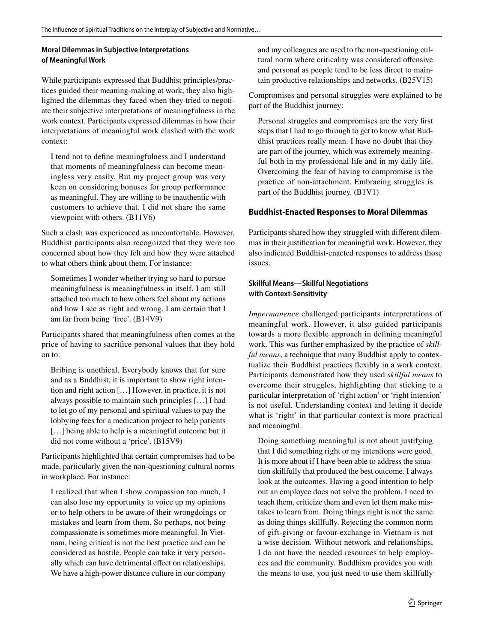# **Moral Dilemmas in Subjective Interpretations of Meaningful Work**

While participants expressed that Buddhist principles/practices guided their meaning-making at work, they also highlighted the dilemmas they faced when they tried to negotiate their subjective interpretations of meaningfulness in the work context. Participants expressed dilemmas in how their interpretations of meaningful work clashed with the work context:

I tend not to defne meaningfulness and I understand that moments of meaningfulness can become meaningless very easily. But my project group was very keen on considering bonuses for group performance as meaningful. They are willing to be inauthentic with customers to achieve that. I did not share the same viewpoint with others. (B11V6)

Such a clash was experienced as uncomfortable. However, Buddhist participants also recognized that they were too concerned about how they felt and how they were attached to what others think about them. For instance:

Sometimes I wonder whether trying so hard to pursue meaningfulness is meaningfulness in itself. I am still attached too much to how others feel about my actions and how I see as right and wrong. I am certain that I am far from being 'free'. (B14V9)

Participants shared that meaningfulness often comes at the price of having to sacrifce personal values that they hold on to:

Bribing is unethical. Everybody knows that for sure and as a Buddhist, it is important to show right intention and right action […] However, in practice, it is not always possible to maintain such principles […] I had to let go of my personal and spiritual values to pay the lobbying fees for a medication project to help patients [...] being able to help is a meaningful outcome but it did not come without a 'price'. (B15V9)

Participants highlighted that certain compromises had to be made, particularly given the non-questioning cultural norms in workplace. For instance:

I realized that when I show compassion too much, I can also lose my opportunity to voice up my opinions or to help others to be aware of their wrongdoings or mistakes and learn from them. So perhaps, not being compassionate is sometimes more meaningful. In Vietnam, being critical is not the best practice and can be considered as hostile. People can take it very personally which can have detrimental efect on relationships. We have a high-power distance culture in our company

and my colleagues are used to the non-questioning cultural norm where criticality was considered ofensive and personal as people tend to be less direct to maintain productive relationships and networks. (B25V15)

Compromises and personal struggles were explained to be part of the Buddhist journey:

Personal struggles and compromises are the very frst steps that I had to go through to get to know what Buddhist practices really mean. I have no doubt that they are part of the journey, which was extremely meaningful both in my professional life and in my daily life. Overcoming the fear of having to compromise is the practice of non-attachment. Embracing struggles is part of the Buddhist journey. (B1V1)

# **Buddhist‑Enacted Responses to Moral Dilemmas**

Participants shared how they struggled with diferent dilemmas in their justifcation for meaningful work. However, they also indicated Buddhist-enacted responses to address those issues.

# **Skillful Means—Skillful Negotiations with Context‑Sensitivity**

*Impermanence* challenged participants interpretations of meaningful work. However, it also guided participants towards a more fexible approach in defning meaningful work. This was further emphasized by the practice of *skillful means*, a technique that many Buddhist apply to contextualize their Buddhist practices fexibly in a work context. Participants demonstrated how they used *skillful means* to overcome their struggles, highlighting that sticking to a particular interpretation of 'right action' or 'right intention' is not useful. Understanding context and letting it decide what is 'right' in that particular context is more practical and meaningful.

Doing something meaningful is not about justifying that I did something right or my intentions were good. It is more about if I have been able to address the situation skillfully that produced the best outcome. I always look at the outcomes. Having a good intention to help out an employee does not solve the problem. I need to teach them, criticize them and even let them make mistakes to learn from. Doing things right is not the same as doing things skillfully. Rejecting the common norm of gift-giving or favour-exchange in Vietnam is not a wise decision. Without network and relationships, I do not have the needed resources to help employees and the community. Buddhism provides you with the means to use, you just need to use them skillfully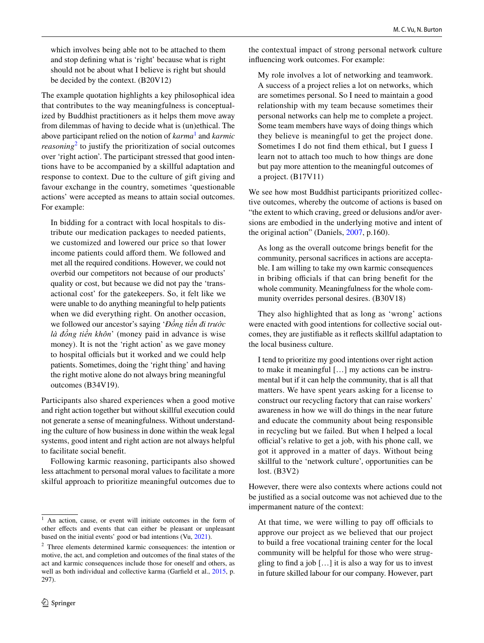which involves being able not to be attached to them and stop defning what is 'right' because what is right should not be about what I believe is right but should be decided by the context. (B20V12)

The example quotation highlights a key philosophical idea that contributes to the way meaningfulness is conceptualized by Buddhist practitioners as it helps them move away from dilemmas of having to decide what is (un)ethical. The above participant relied on the notion of *karma*[1](#page-9-0) and *karmic reasoning*[2](#page-9-1) to justify the prioritization of social outcomes over 'right action'. The participant stressed that good intentions have to be accompanied by a skillful adaptation and response to context. Due to the culture of gift giving and favour exchange in the country, sometimes 'questionable actions' were accepted as means to attain social outcomes. For example:

In bidding for a contract with local hospitals to distribute our medication packages to needed patients, we customized and lowered our price so that lower income patients could afford them. We followed and met all the required conditions. However, we could not overbid our competitors not because of our products' quality or cost, but because we did not pay the 'transactional cost' for the gatekeepers. So, it felt like we were unable to do anything meaningful to help patients when we did everything right. On another occasion, we followed our ancestor's saying '*Đồng tiền đi trước là đồng tiền khôn*' (money paid in advance is wise money). It is not the 'right action' as we gave money to hospital officials but it worked and we could help patients. Sometimes, doing the 'right thing' and having the right motive alone do not always bring meaningful outcomes (B34V19).

Participants also shared experiences when a good motive and right action together but without skillful execution could not generate a sense of meaningfulness. Without understanding the culture of how business in done within the weak legal systems, good intent and right action are not always helpful to facilitate social beneft.

Following karmic reasoning, participants also showed less attachment to personal moral values to facilitate a more skilful approach to prioritize meaningful outcomes due to the contextual impact of strong personal network culture infuencing work outcomes. For example:

My role involves a lot of networking and teamwork. A success of a project relies a lot on networks, which are sometimes personal. So I need to maintain a good relationship with my team because sometimes their personal networks can help me to complete a project. Some team members have ways of doing things which they believe is meaningful to get the project done. Sometimes I do not fnd them ethical, but I guess I learn not to attach too much to how things are done but pay more attention to the meaningful outcomes of a project. (B17V11)

We see how most Buddhist participants prioritized collective outcomes, whereby the outcome of actions is based on "the extent to which craving, greed or delusions and/or aversions are embodied in the underlying motive and intent of the original action" (Daniels, [2007](#page-22-39), p.160).

As long as the overall outcome brings beneft for the community, personal sacrifces in actions are acceptable. I am willing to take my own karmic consequences in bribing officials if that can bring benefit for the whole community. Meaningfulness for the whole community overrides personal desires. (B30V18)

They also highlighted that as long as 'wrong' actions were enacted with good intentions for collective social outcomes, they are justifable as it refects skillful adaptation to the local business culture.

I tend to prioritize my good intentions over right action to make it meaningful […] my actions can be instrumental but if it can help the community, that is all that matters. We have spent years asking for a license to construct our recycling factory that can raise workers' awareness in how we will do things in the near future and educate the community about being responsible in recycling but we failed. But when I helped a local official's relative to get a job, with his phone call, we got it approved in a matter of days. Without being skillful to the 'network culture', opportunities can be lost. (B3V2)

However, there were also contexts where actions could not be justifed as a social outcome was not achieved due to the impermanent nature of the context:

At that time, we were willing to pay off officials to approve our project as we believed that our project to build a free vocational training center for the local community will be helpful for those who were struggling to fnd a job […] it is also a way for us to invest in future skilled labour for our company. However, part

<span id="page-9-0"></span><sup>&</sup>lt;sup>1</sup> An action, cause, or event will initiate outcomes in the form of other efects and events that can either be pleasant or unpleasant based on the initial events' good or bad intentions (Vu, [2021](#page-23-10)).

<span id="page-9-1"></span> $2\degree$  Three elements determined karmic consequences: the intention or motive, the act, and completion and outcomes of the fnal states of the act and karmic consequences include those for oneself and others, as well as both individual and collective karma (Garfeld et al., [2015](#page-22-40), p. 297).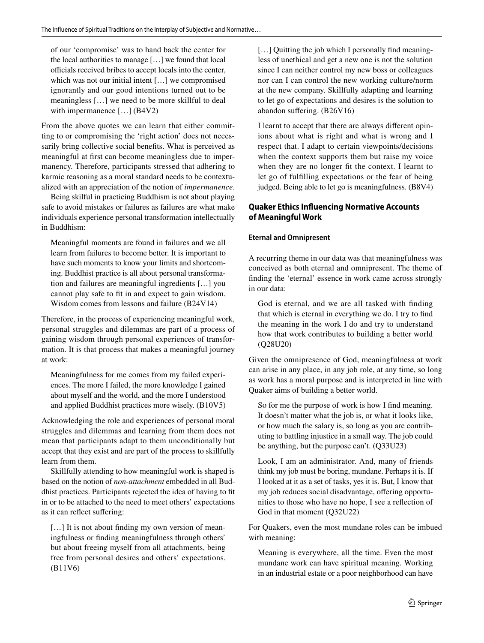of our 'compromise' was to hand back the center for the local authorities to manage […] we found that local officials received bribes to accept locals into the center, which was not our initial intent […] we compromised ignorantly and our good intentions turned out to be meaningless […] we need to be more skillful to deal with impermanence […] (B4V2)

From the above quotes we can learn that either committing to or compromising the 'right action' does not necessarily bring collective social benefts. What is perceived as meaningful at frst can become meaningless due to impermanency. Therefore, participants stressed that adhering to karmic reasoning as a moral standard needs to be contextualized with an appreciation of the notion of *impermanence*.

Being skilful in practicing Buddhism is not about playing safe to avoid mistakes or failures as failures are what make individuals experience personal transformation intellectually in Buddhism:

Meaningful moments are found in failures and we all learn from failures to become better. It is important to have such moments to know your limits and shortcoming. Buddhist practice is all about personal transformation and failures are meaningful ingredients […] you cannot play safe to ft in and expect to gain wisdom. Wisdom comes from lessons and failure (B24V14)

Therefore, in the process of experiencing meaningful work, personal struggles and dilemmas are part of a process of gaining wisdom through personal experiences of transformation. It is that process that makes a meaningful journey at work:

Meaningfulness for me comes from my failed experiences. The more I failed, the more knowledge I gained about myself and the world, and the more I understood and applied Buddhist practices more wisely. (B10V5)

Acknowledging the role and experiences of personal moral struggles and dilemmas and learning from them does not mean that participants adapt to them unconditionally but accept that they exist and are part of the process to skillfully learn from them.

Skillfully attending to how meaningful work is shaped is based on the notion of *non-attachment* embedded in all Buddhist practices. Participants rejected the idea of having to ft in or to be attached to the need to meet others' expectations as it can refect sufering:

[...] It is not about finding my own version of meaningfulness or fnding meaningfulness through others' but about freeing myself from all attachments, being free from personal desires and others' expectations. (B11V6)

[...] Quitting the job which I personally find meaningless of unethical and get a new one is not the solution since I can neither control my new boss or colleagues nor can I can control the new working culture/norm at the new company. Skillfully adapting and learning to let go of expectations and desires is the solution to abandon sufering. (B26V16)

I learnt to accept that there are always diferent opinions about what is right and what is wrong and I respect that. I adapt to certain viewpoints/decisions when the context supports them but raise my voice when they are no longer ft the context. I learnt to let go of fulflling expectations or the fear of being judged. Being able to let go is meaningfulness. (B8V4)

# **Quaker Ethics Infuencing Normative Accounts of Meaningful Work**

# **Eternal and Omnipresent**

A recurring theme in our data was that meaningfulness was conceived as both eternal and omnipresent. The theme of fnding the 'eternal' essence in work came across strongly in our data:

God is eternal, and we are all tasked with fnding that which is eternal in everything we do. I try to fnd the meaning in the work I do and try to understand how that work contributes to building a better world (Q28U20)

Given the omnipresence of God, meaningfulness at work can arise in any place, in any job role, at any time, so long as work has a moral purpose and is interpreted in line with Quaker aims of building a better world.

So for me the purpose of work is how I fnd meaning. It doesn't matter what the job is, or what it looks like, or how much the salary is, so long as you are contributing to battling injustice in a small way. The job could be anything, but the purpose can't. (Q33U23)

Look, I am an administrator. And, many of friends think my job must be boring, mundane. Perhaps it is. If I looked at it as a set of tasks, yes it is. But, I know that my job reduces social disadvantage, ofering opportunities to those who have no hope, I see a refection of God in that moment (Q32U22)

For Quakers, even the most mundane roles can be imbued with meaning:

Meaning is everywhere, all the time. Even the most mundane work can have spiritual meaning. Working in an industrial estate or a poor neighborhood can have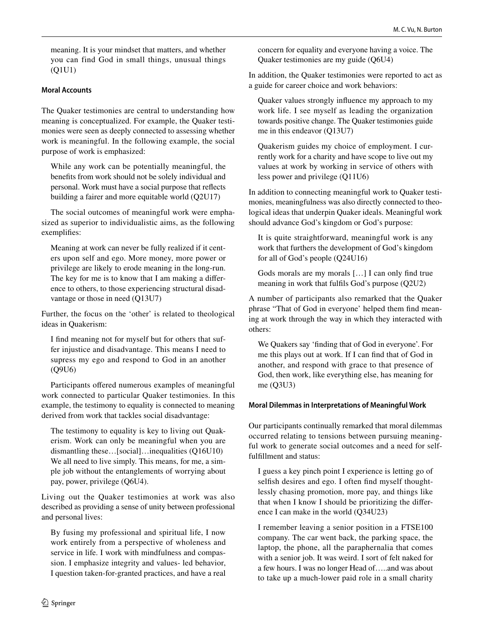meaning. It is your mindset that matters, and whether you can find God in small things, unusual things (Q1U1)

## **Moral Accounts**

The Quaker testimonies are central to understanding how meaning is conceptualized. For example, the Quaker testimonies were seen as deeply connected to assessing whether work is meaningful. In the following example, the social purpose of work is emphasized:

While any work can be potentially meaningful, the benefts from work should not be solely individual and personal. Work must have a social purpose that refects building a fairer and more equitable world (Q2U17)

The social outcomes of meaningful work were emphasized as superior to individualistic aims, as the following exemplifes:

Meaning at work can never be fully realized if it centers upon self and ego. More money, more power or privilege are likely to erode meaning in the long-run. The key for me is to know that I am making a diference to others, to those experiencing structural disadvantage or those in need (Q13U7)

Further, the focus on the 'other' is related to theological ideas in Quakerism:

I fnd meaning not for myself but for others that suffer injustice and disadvantage. This means I need to supress my ego and respond to God in an another (Q9U6)

Participants offered numerous examples of meaningful work connected to particular Quaker testimonies. In this example, the testimony to equality is connected to meaning derived from work that tackles social disadvantage:

The testimony to equality is key to living out Quakerism. Work can only be meaningful when you are dismantling these…[social]…inequalities (Q16U10) We all need to live simply. This means, for me, a simple job without the entanglements of worrying about pay, power, privilege (Q6U4).

Living out the Quaker testimonies at work was also described as providing a sense of unity between professional and personal lives:

By fusing my professional and spiritual life, I now work entirely from a perspective of wholeness and service in life. I work with mindfulness and compassion. I emphasize integrity and values- led behavior, I question taken-for-granted practices, and have a real

concern for equality and everyone having a voice. The Quaker testimonies are my guide (Q6U4)

In addition, the Quaker testimonies were reported to act as a guide for career choice and work behaviors:

Quaker values strongly infuence my approach to my work life. I see myself as leading the organization towards positive change. The Quaker testimonies guide me in this endeavor (Q13U7)

Quakerism guides my choice of employment. I currently work for a charity and have scope to live out my values at work by working in service of others with less power and privilege (Q11U6)

In addition to connecting meaningful work to Quaker testimonies, meaningfulness was also directly connected to theological ideas that underpin Quaker ideals. Meaningful work should advance God's kingdom or God's purpose:

It is quite straightforward, meaningful work is any work that furthers the development of God's kingdom for all of God's people (Q24U16)

Gods morals are my morals […] I can only fnd true meaning in work that fulfls God's purpose (Q2U2)

A number of participants also remarked that the Quaker phrase "That of God in everyone' helped them fnd meaning at work through the way in which they interacted with others:

We Quakers say 'fnding that of God in everyone'. For me this plays out at work. If I can fnd that of God in another, and respond with grace to that presence of God, then work, like everything else, has meaning for me (Q3U3)

## **Moral Dilemmas in Interpretations of Meaningful Work**

Our participants continually remarked that moral dilemmas occurred relating to tensions between pursuing meaningful work to generate social outcomes and a need for selffulfllment and status:

I guess a key pinch point I experience is letting go of selfish desires and ego. I often find myself thoughtlessly chasing promotion, more pay, and things like that when I know I should be prioritizing the diference I can make in the world (Q34U23)

I remember leaving a senior position in a FTSE100 company. The car went back, the parking space, the laptop, the phone, all the paraphernalia that comes with a senior job. It was weird. I sort of felt naked for a few hours. I was no longer Head of…..and was about to take up a much-lower paid role in a small charity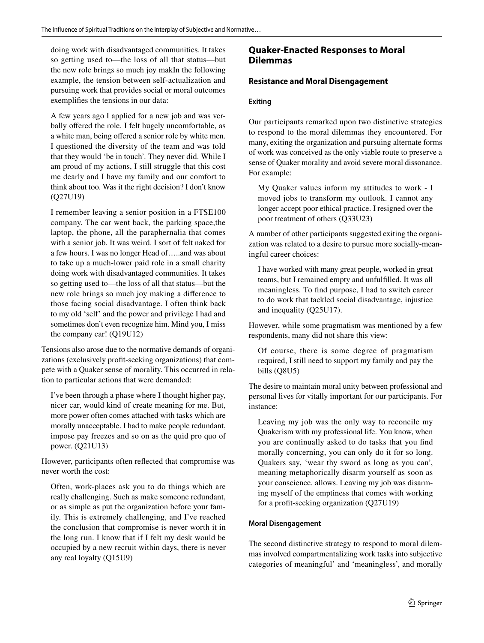doing work with disadvantaged communities. It takes so getting used to—the loss of all that status—but the new role brings so much joy makIn the following example, the tension between self-actualization and pursuing work that provides social or moral outcomes exemplifes the tensions in our data:

A few years ago I applied for a new job and was verbally offered the role. I felt hugely uncomfortable, as a white man, being offered a senior role by white men. I questioned the diversity of the team and was told that they would 'be in touch'. They never did. While I am proud of my actions, I still struggle that this cost me dearly and I have my family and our comfort to think about too. Was it the right decision? I don't know (Q27U19)

I remember leaving a senior position in a FTSE100 company. The car went back, the parking space,the laptop, the phone, all the paraphernalia that comes with a senior job. It was weird. I sort of felt naked for a few hours. I was no longer Head of…..and was about to take up a much-lower paid role in a small charity doing work with disadvantaged communities. It takes so getting used to—the loss of all that status—but the new role brings so much joy making a diference to those facing social disadvantage. I often think back to my old 'self' and the power and privilege I had and sometimes don't even recognize him. Mind you, I miss the company car! (Q19U12)

Tensions also arose due to the normative demands of organizations (exclusively proft-seeking organizations) that compete with a Quaker sense of morality. This occurred in relation to particular actions that were demanded:

I've been through a phase where I thought higher pay, nicer car, would kind of create meaning for me. But, more power often comes attached with tasks which are morally unacceptable. I had to make people redundant, impose pay freezes and so on as the quid pro quo of power. (Q21U13)

However, participants often refected that compromise was never worth the cost:

Often, work-places ask you to do things which are really challenging. Such as make someone redundant, or as simple as put the organization before your family. This is extremely challenging, and I've reached the conclusion that compromise is never worth it in the long run. I know that if I felt my desk would be occupied by a new recruit within days, there is never any real loyalty (Q15U9)

# **Quaker‑Enacted Responses to Moral Dilemmas**

## **Resistance and Moral Disengagement**

## **Exiting**

Our participants remarked upon two distinctive strategies to respond to the moral dilemmas they encountered. For many, exiting the organization and pursuing alternate forms of work was conceived as the only viable route to preserve a sense of Quaker morality and avoid severe moral dissonance. For example:

My Quaker values inform my attitudes to work - I moved jobs to transform my outlook. I cannot any longer accept poor ethical practice. I resigned over the poor treatment of others (Q33U23)

A number of other participants suggested exiting the organization was related to a desire to pursue more socially-meaningful career choices:

I have worked with many great people, worked in great teams, but I remained empty and unfulflled. It was all meaningless. To fnd purpose, I had to switch career to do work that tackled social disadvantage, injustice and inequality (Q25U17).

However, while some pragmatism was mentioned by a few respondents, many did not share this view:

Of course, there is some degree of pragmatism required, I still need to support my family and pay the bills (Q8U5)

The desire to maintain moral unity between professional and personal lives for vitally important for our participants. For instance:

Leaving my job was the only way to reconcile my Quakerism with my professional life. You know, when you are continually asked to do tasks that you fnd morally concerning, you can only do it for so long. Quakers say, 'wear thy sword as long as you can', meaning metaphorically disarm yourself as soon as your conscience. allows. Leaving my job was disarming myself of the emptiness that comes with working for a proft-seeking organization (Q27U19)

## **Moral Disengagement**

The second distinctive strategy to respond to moral dilemmas involved compartmentalizing work tasks into subjective categories of meaningful' and 'meaningless', and morally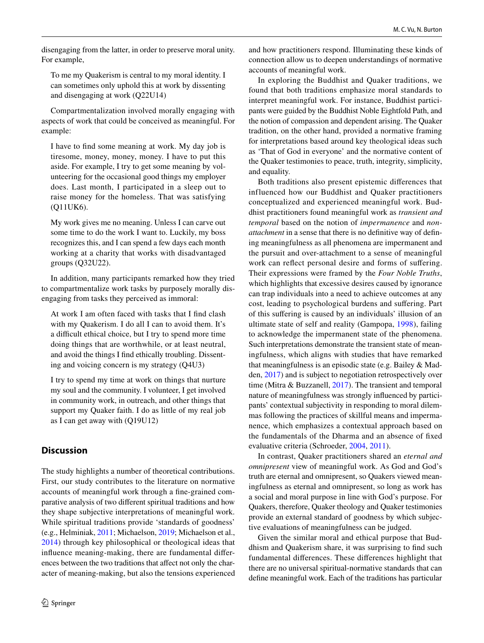disengaging from the latter, in order to preserve moral unity. For example,

To me my Quakerism is central to my moral identity. I can sometimes only uphold this at work by dissenting and disengaging at work (Q22U14)

Compartmentalization involved morally engaging with aspects of work that could be conceived as meaningful. For example:

I have to fnd some meaning at work. My day job is tiresome, money, money, money. I have to put this aside. For example, I try to get some meaning by volunteering for the occasional good things my employer does. Last month, I participated in a sleep out to raise money for the homeless. That was satisfying (Q11UK6).

My work gives me no meaning. Unless I can carve out some time to do the work I want to. Luckily, my boss recognizes this, and I can spend a few days each month working at a charity that works with disadvantaged groups (Q32U22).

In addition, many participants remarked how they tried to compartmentalize work tasks by purposely morally disengaging from tasks they perceived as immoral:

At work I am often faced with tasks that I fnd clash with my Quakerism. I do all I can to avoid them. It's a difficult ethical choice, but I try to spend more time doing things that are worthwhile, or at least neutral, and avoid the things I fnd ethically troubling. Dissenting and voicing concern is my strategy (Q4U3)

I try to spend my time at work on things that nurture my soul and the community. I volunteer, I get involved in community work, in outreach, and other things that support my Quaker faith. I do as little of my real job as I can get away with (Q19U12)

# **Discussion**

The study highlights a number of theoretical contributions. First, our study contributes to the literature on normative accounts of meaningful work through a fne-grained comparative analysis of two diferent spiritual traditions and how they shape subjective interpretations of meaningful work. While spiritual traditions provide 'standards of goodness' (e.g., Helminiak, [2011](#page-22-24); Michaelson, [2019;](#page-22-5) Michaelson et al., [2014\)](#page-23-4) through key philosophical or theological ideas that infuence meaning-making, there are fundamental diferences between the two traditions that afect not only the character of meaning-making, but also the tensions experienced and how practitioners respond. Illuminating these kinds of connection allow us to deepen understandings of normative accounts of meaningful work.

In exploring the Buddhist and Quaker traditions, we found that both traditions emphasize moral standards to interpret meaningful work. For instance, Buddhist participants were guided by the Buddhist Noble Eightfold Path, and the notion of compassion and dependent arising. The Quaker tradition, on the other hand, provided a normative framing for interpretations based around key theological ideas such as 'That of God in everyone' and the normative content of the Quaker testimonies to peace, truth, integrity, simplicity, and equality.

Both traditions also present epistemic diferences that influenced how our Buddhist and Quaker practitioners conceptualized and experienced meaningful work. Buddhist practitioners found meaningful work as *transient and temporal* based on the notion of *impermanence* and *nonattachment* in a sense that there is no definitive way of defining meaningfulness as all phenomena are impermanent and the pursuit and over-attachment to a sense of meaningful work can refect personal desire and forms of sufering. Their expressions were framed by the *Four Noble Truths*, which highlights that excessive desires caused by ignorance can trap individuals into a need to achieve outcomes at any cost, leading to psychological burdens and sufering. Part of this sufering is caused by an individuals' illusion of an ultimate state of self and reality (Gampopa, [1998\)](#page-22-41), failing to acknowledge the impermanent state of the phenomena. Such interpretations demonstrate the transient state of meaningfulness, which aligns with studies that have remarked that meaningfulness is an episodic state (e.g. Bailey & Madden, [2017\)](#page-21-24) and is subject to negotiation retrospectively over time (Mitra & Buzzanell, [2017](#page-23-2)). The transient and temporal nature of meaningfulness was strongly infuenced by participants' contextual subjectivity in responding to moral dilemmas following the practices of skillful means and impermanence, which emphasizes a contextual approach based on the fundamentals of the Dharma and an absence of fxed evaluative criteria (Schroeder, [2004](#page-23-30), [2011](#page-23-31)).

In contrast, Quaker practitioners shared an *eternal and omnipresent* view of meaningful work. As God and God's truth are eternal and omnipresent, so Quakers viewed meaningfulness as eternal and omnipresent, so long as work has a social and moral purpose in line with God's purpose. For Quakers, therefore, Quaker theology and Quaker testimonies provide an external standard of goodness by which subjective evaluations of meaningfulness can be judged.

Given the similar moral and ethical purpose that Buddhism and Quakerism share, it was surprising to fnd such fundamental diferences. These diferences highlight that there are no universal spiritual-normative standards that can defne meaningful work. Each of the traditions has particular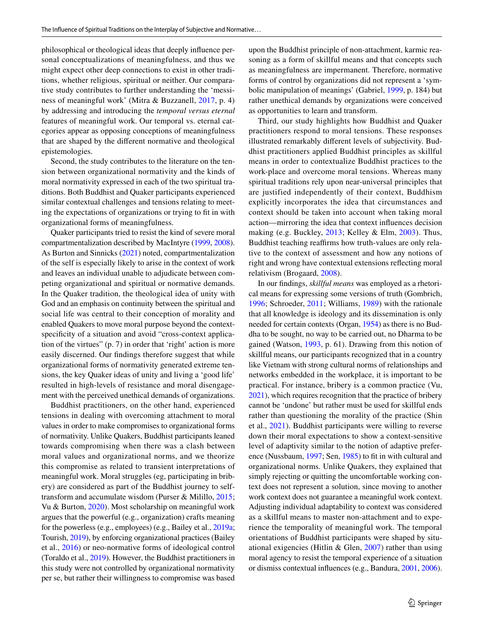philosophical or theological ideas that deeply infuence personal conceptualizations of meaningfulness, and thus we might expect other deep connections to exist in other traditions, whether religious, spiritual or neither. Our comparative study contributes to further understanding the 'messiness of meaningful work' (Mitra & Buzzanell, [2017,](#page-23-2) p. 4) by addressing and introducing the *temporal versus eternal* features of meaningful work. Our temporal vs. eternal categories appear as opposing conceptions of meaningfulness that are shaped by the diferent normative and theological epistemologies.

Second, the study contributes to the literature on the tension between organizational normativity and the kinds of moral normativity expressed in each of the two spiritual traditions. Both Buddhist and Quaker participants experienced similar contextual challenges and tensions relating to meeting the expectations of organizations or trying to ft in with organizational forms of meaningfulness.

Quaker participants tried to resist the kind of severe moral compartmentalization described by MacIntyre [\(1999,](#page-22-42) [2008](#page-22-43)). As Burton and Sinnicks [\(2021](#page-21-18)) noted, compartmentalization of the self is especially likely to arise in the context of work and leaves an individual unable to adjudicate between competing organizational and spiritual or normative demands. In the Quaker tradition, the theological idea of unity with God and an emphasis on continuity between the spiritual and social life was central to their conception of morality and enabled Quakers to move moral purpose beyond the contextspecifcity of a situation and avoid "cross-context application of the virtues" (p. 7) in order that 'right' action is more easily discerned. Our fndings therefore suggest that while organizational forms of normativity generated extreme tensions, the key Quaker ideas of unity and living a 'good life' resulted in high-levels of resistance and moral disengagement with the perceived unethical demands of organizations.

Buddhist practitioners, on the other hand, experienced tensions in dealing with overcoming attachment to moral values in order to make compromises to organizational forms of normativity. Unlike Quakers, Buddhist participants leaned towards compromising when there was a clash between moral values and organizational norms, and we theorize this compromise as related to transient interpretations of meaningful work. Moral struggles (eg, participating in bribery) are considered as part of the Buddhist journey to selftransform and accumulate wisdom (Purser & Milillo, [2015](#page-23-36); Vu & Burton, [2020\)](#page-23-37). Most scholarship on meaningful work argues that the powerful (e.g., organization) crafts meaning for the powerless (e.g., employees) (e.g., Bailey et al., [2019a](#page-21-0); Tourish, [2019\)](#page-23-38), by enforcing organizational practices (Bailey et al., [2016](#page-21-4)) or neo-normative forms of ideological control (Toraldo et al., [2019](#page-23-39)). However, the Buddhist practitioners in this study were not controlled by organizational normativity per se, but rather their willingness to compromise was based upon the Buddhist principle of non-attachment, karmic reasoning as a form of skillful means and that concepts such as meaningfulness are impermanent. Therefore, normative forms of control by organizations did not represent a 'symbolic manipulation of meanings' (Gabriel, [1999](#page-22-44), p. 184) but rather unethical demands by organizations were conceived as opportunities to learn and transform.

Third, our study highlights how Buddhist and Quaker practitioners respond to moral tensions. These responses illustrated remarkably diferent levels of subjectivity. Buddhist practitioners applied Buddhist principles as skillful means in order to contextualize Buddhist practices to the work-place and overcome moral tensions. Whereas many spiritual traditions rely upon near-universal principles that are justified independently of their context, Buddhism explicitly incorporates the idea that circumstances and context should be taken into account when taking moral action—mirroring the idea that context infuences decision making (e.g. Buckley, [2013](#page-21-25); Kelley & Elm, [2003\)](#page-22-45). Thus, Buddhist teaching reaffirms how truth-values are only relative to the context of assessment and how any notions of right and wrong have contextual extensions refecting moral relativism (Brogaard, [2008](#page-21-26)).

In our fndings, *skillful means* was employed as a rhetorical means for expressing some versions of truth (Gombrich, [1996](#page-22-46); Schroeder, [2011](#page-23-31); Williams, [1989](#page-23-40)) with the rationale that all knowledge is ideology and its dissemination is only needed for certain contexts (Organ, [1954\)](#page-23-41) as there is no Buddha to be sought, no way to be carried out, no Dharma to be gained (Watson, [1993,](#page-23-42) p. 61). Drawing from this notion of skillful means, our participants recognized that in a country like Vietnam with strong cultural norms of relationships and networks embedded in the workplace, it is important to be practical. For instance, bribery is a common practice (Vu, [2021\)](#page-23-10), which requires recognition that the practice of bribery cannot be 'undone' but rather must be used for skillful ends rather than questioning the morality of the practice (Shin et al., [2021\)](#page-23-43). Buddhist participants were willing to reverse down their moral expectations to show a context-sensitive level of adaptivity similar to the notion of adaptive preference (Nussbaum, [1997;](#page-23-12) Sen, [1985](#page-23-13)) to ft in with cultural and organizational norms. Unlike Quakers, they explained that simply rejecting or quitting the uncomfortable working context does not represent a solution, since moving to another work context does not guarantee a meaningful work context. Adjusting individual adaptability to context was considered as a skillful means to master non-attachment and to experience the temporality of meaningful work. The temporal orientations of Buddhist participants were shaped by situational exigencies (Hitlin & Glen,  $2007$ ) rather than using moral agency to resist the temporal experience of a situation or dismiss contextual infuences (e.g., Bandura, [2001](#page-21-27), [2006](#page-21-28)).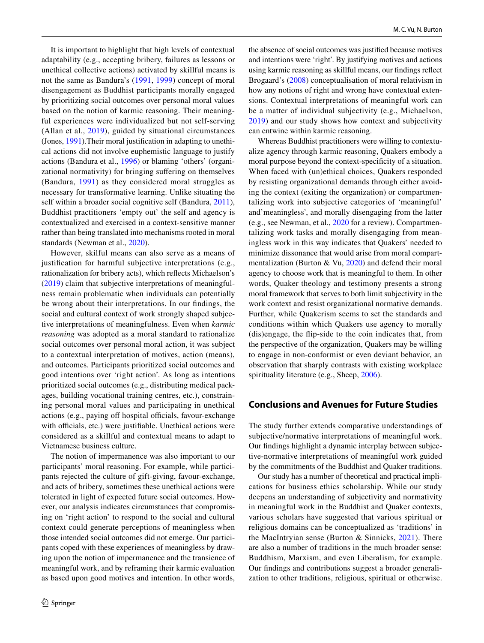It is important to highlight that high levels of contextual adaptability (e.g., accepting bribery, failures as lessons or unethical collective actions) activated by skillful means is not the same as Bandura's ([1991](#page-21-29), [1999](#page-21-30)) concept of moral disengagement as Buddhist participants morally engaged by prioritizing social outcomes over personal moral values based on the notion of karmic reasoning. Their meaningful experiences were individualized but not self-serving (Allan et al., [2019\)](#page-21-31), guided by situational circumstances (Jones, [1991\)](#page-22-48).Their moral justifcation in adapting to unethical actions did not involve euphemistic language to justify actions (Bandura et al., [1996\)](#page-21-32) or blaming 'others' (organizational normativity) for bringing sufering on themselves (Bandura, [1991\)](#page-21-29) as they considered moral struggles as necessary for transformative learning. Unlike situating the self within a broader social cognitive self (Bandura, [2011](#page-21-33)), Buddhist practitioners 'empty out' the self and agency is contextualized and exercised in a context-sensitive manner rather than being translated into mechanisms rooted in moral standards (Newman et al., [2020](#page-23-44)).

However, skilful means can also serve as a means of justifcation for harmful subjective interpretations (e.g., rationalization for bribery acts), which refects Michaelson's [\(2019\)](#page-22-5) claim that subjective interpretations of meaningfulness remain problematic when individuals can potentially be wrong about their interpretations. In our fndings, the social and cultural context of work strongly shaped subjective interpretations of meaningfulness. Even when *karmic reasoning* was adopted as a moral standard to rationalize social outcomes over personal moral action, it was subject to a contextual interpretation of motives, action (means), and outcomes. Participants prioritized social outcomes and good intentions over 'right action'. As long as intentions prioritized social outcomes (e.g., distributing medical packages, building vocational training centres, etc.), constraining personal moral values and participating in unethical actions (e.g., paying off hospital officials, favour-exchange with officials, etc.) were justifiable. Unethical actions were considered as a skillful and contextual means to adapt to Vietnamese business culture.

The notion of impermanence was also important to our participants' moral reasoning. For example, while participants rejected the culture of gift-giving, favour-exchange, and acts of bribery, sometimes these unethical actions were tolerated in light of expected future social outcomes. However, our analysis indicates circumstances that compromising on 'right action' to respond to the social and cultural context could generate perceptions of meaningless when those intended social outcomes did not emerge. Our participants coped with these experiences of meaningless by drawing upon the notion of impermanence and the transience of meaningful work, and by reframing their karmic evaluation as based upon good motives and intention. In other words,

the absence of social outcomes was justifed because motives and intentions were 'right'. By justifying motives and actions using karmic reasoning as skillful means, our fndings refect Brogaard's [\(2008\)](#page-21-26) conceptualisation of moral relativism in how any notions of right and wrong have contextual extensions. Contextual interpretations of meaningful work can be a matter of individual subjectivity (e.g., Michaelson, [2019\)](#page-22-5) and our study shows how context and subjectivity can entwine within karmic reasoning.

Whereas Buddhist practitioners were willing to contextualize agency through karmic reasoning, Quakers embody a moral purpose beyond the context-specifcity of a situation. When faced with (un)ethical choices, Quakers responded by resisting organizational demands through either avoiding the context (exiting the organization) or compartmentalizing work into subjective categories of 'meaningful' and'meaningless', and morally disengaging from the latter (e.g., see Newman, et al., [2020](#page-23-44) for a review). Compartmentalizing work tasks and morally disengaging from meaningless work in this way indicates that Quakers' needed to minimize dissonance that would arise from moral compartmentalization (Burton & Vu, [2020](#page-21-21)) and defend their moral agency to choose work that is meaningful to them. In other words, Quaker theology and testimony presents a strong moral framework that serves to both limit subjectivity in the work context and resist organizational normative demands. Further, while Quakerism seems to set the standards and conditions within which Quakers use agency to morally (dis)engage, the fip-side to the coin indicates that, from the perspective of the organization, Quakers may be willing to engage in non-conformist or even deviant behavior, an observation that sharply contrasts with existing workplace spirituality literature (e.g., Sheep, [2006\)](#page-23-45).

# **Conclusions and Avenues for Future Studies**

The study further extends comparative understandings of subjective/normative interpretations of meaningful work. Our fndings highlight a dynamic interplay between subjective-normative interpretations of meaningful work guided by the commitments of the Buddhist and Quaker traditions.

Our study has a number of theoretical and practical implications for business ethics scholarship. While our study deepens an understanding of subjectivity and normativity in meaningful work in the Buddhist and Quaker contexts, various scholars have suggested that various spiritual or religious domains can be conceptualized as 'traditions' in the MacIntryian sense (Burton & Sinnicks, [2021](#page-21-18)). There are also a number of traditions in the much broader sense: Buddhism, Marxism, and even Liberalism, for example. Our fndings and contributions suggest a broader generalization to other traditions, religious, spiritual or otherwise.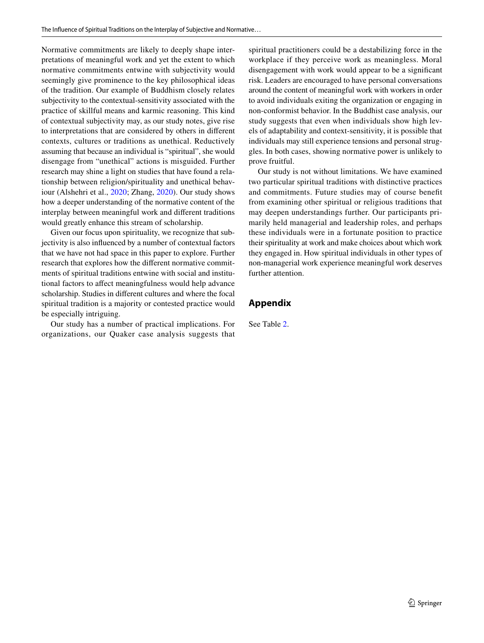Normative commitments are likely to deeply shape interpretations of meaningful work and yet the extent to which normative commitments entwine with subjectivity would seemingly give prominence to the key philosophical ideas of the tradition. Our example of Buddhism closely relates subjectivity to the contextual-sensitivity associated with the practice of skillful means and karmic reasoning. This kind of contextual subjectivity may, as our study notes, give rise to interpretations that are considered by others in diferent contexts, cultures or traditions as unethical. Reductively assuming that because an individual is "spiritual", she would disengage from "unethical" actions is misguided. Further research may shine a light on studies that have found a relationship between religion/spirituality and unethical behaviour (Alshehri et al., [2020](#page-21-34); Zhang, [2020\)](#page-23-46). Our study shows how a deeper understanding of the normative content of the interplay between meaningful work and diferent traditions would greatly enhance this stream of scholarship.

Given our focus upon spirituality, we recognize that subjectivity is also infuenced by a number of contextual factors that we have not had space in this paper to explore. Further research that explores how the diferent normative commitments of spiritual traditions entwine with social and institutional factors to afect meaningfulness would help advance scholarship. Studies in diferent cultures and where the focal spiritual tradition is a majority or contested practice would be especially intriguing.

Our study has a number of practical implications. For organizations, our Quaker case analysis suggests that spiritual practitioners could be a destabilizing force in the workplace if they perceive work as meaningless. Moral disengagement with work would appear to be a signifcant risk. Leaders are encouraged to have personal conversations around the content of meaningful work with workers in order to avoid individuals exiting the organization or engaging in non-conformist behavior. In the Buddhist case analysis, our study suggests that even when individuals show high levels of adaptability and context-sensitivity, it is possible that individuals may still experience tensions and personal struggles. In both cases, showing normative power is unlikely to prove fruitful.

Our study is not without limitations. We have examined two particular spiritual traditions with distinctive practices and commitments. Future studies may of course beneft from examining other spiritual or religious traditions that may deepen understandings further. Our participants primarily held managerial and leadership roles, and perhaps these individuals were in a fortunate position to practice their spirituality at work and make choices about which work they engaged in. How spiritual individuals in other types of non-managerial work experience meaningful work deserves further attention.

# **Appendix**

See Table 2.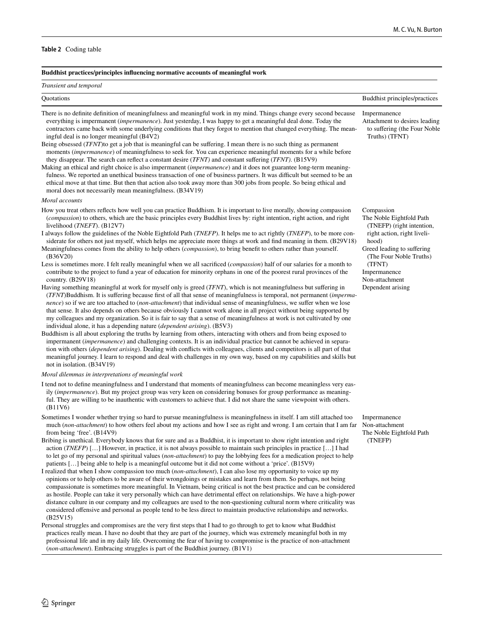### **Table 2** Coding table

#### **Buddhist practices/principles infuencing normative accounts of meaningful work** *Transient and temporal* Quotations Buddhist principles/practices There is no defnite defnition of meaningfulness and meaningful work in my mind. Things change every second because everything is impermanent (*impermanence*). Just yesterday, I was happy to get a meaningful deal done. Today the contractors came back with some underlying conditions that they forgot to mention that changed everything. The meaningful deal is no longer meaningful (B4V2) Being obsessed (*TFNT*)to get a job that is meaningful can be sufering. I mean there is no such thing as permanent moments (*impermanence*) of meaningfulness to seek for. You can experience meaningful moments for a while before they disappear. The search can refect a constant desire (*TFNT)* and constant sufering (*TFNT)*. (B15V9) Making an ethical and right choice is also impermanent (*impermanence*) and it does not guarantee long-term meaningfulness. We reported an unethical business transaction of one of business partners. It was difficult but seemed to be an ethical move at that time. But then that action also took away more than 300 jobs from people. So being ethical and moral does not necessarily mean meaningfulness. (B34V19) Impermanence Attachment to desires leading to sufering (the Four Noble Truths) (TFNT) *Moral accounts* How you treat others refects how well you can practice Buddhism. It is important to live morally, showing compassion (*compassion*) to others, which are the basic principles every Buddhist lives by: right intention, right action, and right livelihood (*TNEFT*). (B12V7) I always follow the guidelines of the Noble Eightfold Path (*TNEFP*). It helps me to act rightly (*TNEFP*), to be more considerate for others not just myself, which helps me appreciate more things at work and fnd meaning in them. (B29V18) Meaningfulness comes from the ability to help others (*compassion*), to bring beneft to others rather than yourself. (B36V20) Less is sometimes more. I felt really meaningful when we all sacrifced (*compassion*) half of our salaries for a month to contribute to the project to fund a year of education for minority orphans in one of the poorest rural provinces of the country. (B29V18) Having something meaningful at work for myself only is greed (*TFNT*), which is not meaningfulness but sufering in (*TFNT*)Buddhism. It is sufering because frst of all that sense of meaningfulness is temporal, not permanent (*impermanence*) so if we are too attached to (*non-attachment*) that individual sense of meaningfulness, we suffer when we lose that sense. It also depends on others because obviously I cannot work alone in all project without being supported by my colleagues and my organization. So it is fair to say that a sense of meaningfulness at work is not cultivated by one individual alone, it has a depending nature (*dependent arising*). (B5V3) Buddhism is all about exploring the truths by learning from others, interacting with others and from being exposed to impermanent (*impermanence*) and challenging contexts. It is an individual practice but cannot be achieved in separation with others (*dependent arising*). Dealing with conficts with colleagues, clients and competitors is all part of that meaningful journey. I learn to respond and deal with challenges in my own way, based on my capabilities and skills but not in isolation. (B34V19) Compassion The Noble Eightfold Path (TNEFP) (right intention, right action, right livelihood) Greed leading to suffering (The Four Noble Truths) (TFNT) Impermanence Non-attachment Dependent arising *Moral dilemmas in interpretations of meaningful work* I tend not to defne meaningfulness and I understand that moments of meaningfulness can become meaningless very easily (*impermanence*). But my project group was very keen on considering bonuses for group performance as meaningful. They are willing to be inauthentic with customers to achieve that. I did not share the same viewpoint with others. (B11V6) Sometimes I wonder whether trying so hard to pursue meaningfulness is meaningfulness in itself. I am still attached too much (*non-attachment*) to how others feel about my actions and how I see as right and wrong. I am certain that I am far from being 'free'. (B14V9) Bribing is unethical. Everybody knows that for sure and as a Buddhist, it is important to show right intention and right action (*TNEFP*) […] However, in practice, it is not always possible to maintain such principles in practice […] I had to let go of my personal and spiritual values (*non-attachment*) to pay the lobbying fees for a medication project to help patients […] being able to help is a meaningful outcome but it did not come without a 'price'. (B15V9) I realized that when I show compassion too much (*non-attachment*), I can also lose my opportunity to voice up my opinions or to help others to be aware of their wrongdoings or mistakes and learn from them. So perhaps, not being compassionate is sometimes more meaningful. In Vietnam, being critical is not the best practice and can be considered as hostile. People can take it very personally which can have detrimental efect on relationships. We have a high-power distance culture in our company and my colleagues are used to the non-questioning cultural norm where criticality was considered ofensive and personal as people tend to be less direct to maintain productive relationships and networks. (B25V15) Personal struggles and compromises are the very frst steps that I had to go through to get to know what Buddhist practices really mean. I have no doubt that they are part of the journey, which was extremely meaningful both in my professional life and in my daily life. Overcoming the fear of having to compromise is the practice of non-attachment (*non-attachment*). Embracing struggles is part of the Buddhist journey. (B1V1) Impermanence Non-attachment The Noble Eightfold Path (TNEFP)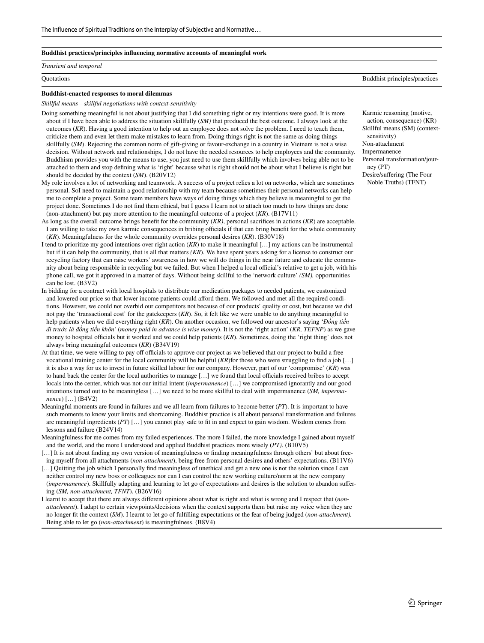#### **Buddhist practices/principles infuencing normative accounts of meaningful work**

#### *Transient and temporal*

Quotations Buddhist principles/practices

#### **Buddhist-enacted responses to moral dilemmas**

*Skillful means—skillful negotiations with context-sensitivity*

- Doing something meaningful is not about justifying that I did something right or my intentions were good. It is more about if I have been able to address the situation skillfully (*SM)* that produced the best outcome. I always look at the outcomes (*KR*). Having a good intention to help out an employee does not solve the problem. I need to teach them, criticize them and even let them make mistakes to learn from. Doing things right is not the same as doing things skillfully (*SM*). Rejecting the common norm of gift-giving or favour-exchange in a country in Vietnam is not a wise decision. Without network and relationships, I do not have the needed resources to help employees and the community. Buddhism provides you with the means to use, you just need to use them skillfully which involves being able not to be attached to them and stop defning what is 'right' because what is right should not be about what I believe is right but should be decided by the context (*SM*). (B20V12)
- My role involves a lot of networking and teamwork. A success of a project relies a lot on networks, which are sometimes personal. SoI need to maintain a good relationship with my team because sometimes their personal networks can help me to complete a project. Some team members have ways of doing things which they believe is meaningful to get the project done. Sometimes I do not fnd them ethical, but I guess I learn not to attach too much to how things are done (non-attachment) but pay more attention to the meaningful outcome of a project (*KR*). (B17V11)
- As long as the overall outcome brings beneft for the community (*KR)*, personal sacrifces in actions (*KR*) are acceptable. I am willing to take my own karmic consequences in bribing officials if that can bring benefit for the whole community (*KR*). Meaningfulness for the whole community overrides personal desires (*KR*). (B30V18)
- I tend to prioritize my good intentions over right action (*KR*) to make it meaningful […] my actions can be instrumental but if it can help the community, that is all that matters *(KR*). We have spent years asking for a license to construct our recycling factory that can raise workers' awareness in how we will do things in the near future and educate the community about being responsible in recycling but we failed. But when I helped a local official's relative to get a job, with his phone call, we got it approved in a matter of days. Without being skillful to the 'network culture' *(SM),* opportunities can be lost. (B3V2)
- In bidding for a contract with local hospitals to distribute our medication packages to needed patients, we customized and lowered our price so that lower income patients could aford them. We followed and met all the required conditions. However, we could not overbid our competitors not because of our products' quality or cost, but because we did not pay the 'transactional cost' for the gatekeepers (*KR*). So, it felt like we were unable to do anything meaningful to help patients when we did everything right (*KR*). On another occasion, we followed our ancestor's saying '*Đồng tiền đi trước là đồng tiền khôn'* (*money paid in advance is wise money*). It is not the 'right action' (*KR, TEFNP*) as we gave money to hospital officials but it worked and we could help patients (*KR*). Sometimes, doing the 'right thing' does not always bring meaningful outcomes (*KR*) (B34V19)
- At that time, we were willing to pay off officials to approve our project as we believed that our project to build a free vocational training center for the local community will be helpful (*KR*)for those who were struggling to fnd a job […] it is also a way for us to invest in future skilled labour for our company. However, part of our 'compromise' (*KR*) was to hand back the center for the local authorities to manage [...] we found that local officials received bribes to accept locals into the center, which was not our initial intent (*impermanence*) […] we compromised ignorantly and our good intentions turned out to be meaningless […] we need to be more skillful to deal with impermanence (*SM, impermanence*) […] (B4V2)
- Meaningful moments are found in failures and we all learn from failures to become better (*PT*). It is important to have such moments to know your limits and shortcoming. Buddhist practice is all about personal transformation and failures are meaningful ingredients (*PT*) […] you cannot play safe to ft in and expect to gain wisdom. Wisdom comes from lessons and failure (B24V14)
- Meaningfulness for me comes from my failed experiences. The more I failed, the more knowledge I gained about myself and the world, and the more I understood and applied Buddhist practices more wisely (*PT)*. (B10V5)
- [...] It is not about finding my own version of meaningfulness or finding meaningfulness through others' but about freeing myself from all attachments (*non-attachment*), being free from personal desires and others' expectations. (B11V6)
- [...] Quitting the job which I personally find meaningless of unethical and get a new one is not the solution since I can neither control my new boss or colleagues nor can I can control the new working culture/norm at the new company (*impermanence*). Skillfully adapting and learning to let go of expectations and desires is the solution to abandon sufering (*SM, non-attachment, TFNT*). (B26V16)
- I learnt to accept that there are always diferent opinions about what is right and what is wrong and I respect that (*nonattachment*). I adapt to certain viewpoints/decisions when the context supports them but raise my voice when they are no longer ft the context (*SM*). I learnt to let go of fulflling expectations or the fear of being judged (*non-attachment).* Being able to let go (*non-attachment*) is meaningfulness. (B8V4)

Karmic reasoning (motive, action, consequence) (KR) Skillful means (SM) (contextsensitivity) Non-attachment Impermanence Personal transformation/journey (PT) Desire/sufering (The Four Noble Truths) (TFNT)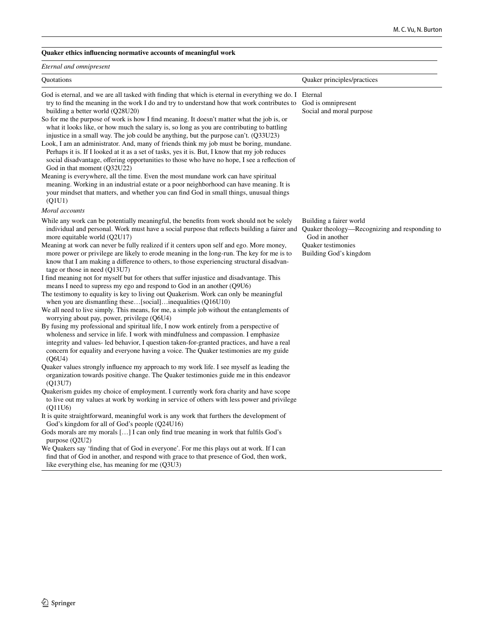## **Quaker ethics infuencing normative accounts of meaningful work**

| Eternal and omnipresent                                                                                                                                                                                                                                                                                                                                                                                                                                                                                                                                                                                                                                                                                                                                                                                                                                                                                                                                                                                                                                                                                                                          |                                                                                                                                                   |  |  |  |  |
|--------------------------------------------------------------------------------------------------------------------------------------------------------------------------------------------------------------------------------------------------------------------------------------------------------------------------------------------------------------------------------------------------------------------------------------------------------------------------------------------------------------------------------------------------------------------------------------------------------------------------------------------------------------------------------------------------------------------------------------------------------------------------------------------------------------------------------------------------------------------------------------------------------------------------------------------------------------------------------------------------------------------------------------------------------------------------------------------------------------------------------------------------|---------------------------------------------------------------------------------------------------------------------------------------------------|--|--|--|--|
| Quotations                                                                                                                                                                                                                                                                                                                                                                                                                                                                                                                                                                                                                                                                                                                                                                                                                                                                                                                                                                                                                                                                                                                                       | Quaker principles/practices                                                                                                                       |  |  |  |  |
| God is eternal, and we are all tasked with finding that which is eternal in everything we do. I Eternal<br>try to find the meaning in the work I do and try to understand how that work contributes to<br>building a better world (Q28U20)<br>So for me the purpose of work is how I find meaning. It doesn't matter what the job is, or<br>what it looks like, or how much the salary is, so long as you are contributing to battling<br>injustice in a small way. The job could be anything, but the purpose can't. (Q33U23)<br>Look, I am an administrator. And, many of friends think my job must be boring, mundane.<br>Perhaps it is. If I looked at it as a set of tasks, yes it is. But, I know that my job reduces<br>social disadvantage, offering opportunities to those who have no hope, I see a reflection of<br>God in that moment (Q32U22)<br>Meaning is everywhere, all the time. Even the most mundane work can have spiritual<br>meaning. Working in an industrial estate or a poor neighborhood can have meaning. It is<br>your mindset that matters, and whether you can find God in small things, unusual things<br>(Q1U1) | God is omnipresent<br>Social and moral purpose                                                                                                    |  |  |  |  |
| Moral accounts                                                                                                                                                                                                                                                                                                                                                                                                                                                                                                                                                                                                                                                                                                                                                                                                                                                                                                                                                                                                                                                                                                                                   |                                                                                                                                                   |  |  |  |  |
| While any work can be potentially meaningful, the benefits from work should not be solely<br>individual and personal. Work must have a social purpose that reflects building a fairer and<br>more equitable world (Q2U17)<br>Meaning at work can never be fully realized if it centers upon self and ego. More money,<br>more power or privilege are likely to erode meaning in the long-run. The key for me is to<br>know that I am making a difference to others, to those experiencing structural disadvan-                                                                                                                                                                                                                                                                                                                                                                                                                                                                                                                                                                                                                                   | Building a fairer world<br>Quaker theology—Recognizing and responding to<br>God in another<br><b>Ouaker</b> testimonies<br>Building God's kingdom |  |  |  |  |
| tage or those in need $(Q13U7)$<br>I find meaning not for myself but for others that suffer injustice and disadvantage. This<br>means I need to supress my ego and respond to God in an another (Q9U6)<br>The testimony to equality is key to living out Quakerism. Work can only be meaningful<br>when you are dismantling these[social]inequalities (Q16U10)<br>We all need to live simply. This means, for me, a simple job without the entanglements of<br>worrying about pay, power, privilege (Q6U4)<br>By fusing my professional and spiritual life, I now work entirely from a perspective of<br>wholeness and service in life. I work with mindfulness and compassion. I emphasize<br>integrity and values- led behavior, I question taken-for-granted practices, and have a real<br>concern for equality and everyone having a voice. The Quaker testimonies are my guide<br>(O6U4)                                                                                                                                                                                                                                                    |                                                                                                                                                   |  |  |  |  |
| Quaker values strongly influence my approach to my work life. I see myself as leading the<br>organization towards positive change. The Quaker testimonies guide me in this endeavor<br>(013U7)<br>Quakerism guides my choice of employment. I currently work for acharity and have scope<br>to live out my values at work by working in service of others with less power and privilege<br>(O11U6)<br>It is quite straightforward, meaningful work is any work that furthers the development of<br>God's kingdom for all of God's people (Q24U16)<br>Gods morals are my morals [] I can only find true meaning in work that fulfils God's<br>purpose $(Q2U2)$<br>We Quakers say 'finding that of God in everyone'. For me this plays out at work. If I can<br>find that of God in another, and respond with grace to that presence of God, then work,                                                                                                                                                                                                                                                                                            |                                                                                                                                                   |  |  |  |  |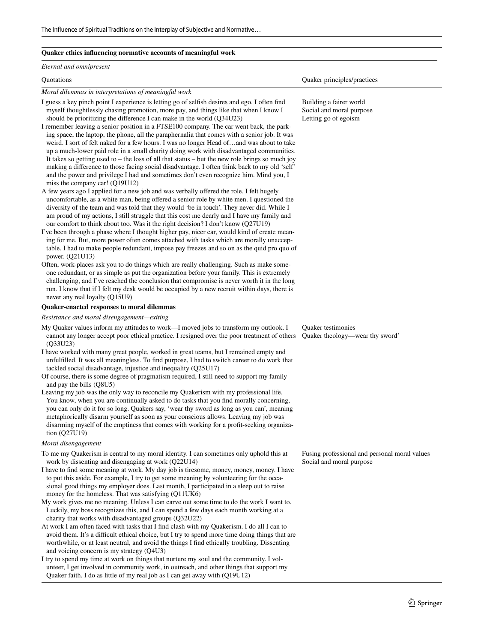#### **Quaker ethics infuencing normative accounts of meaningful work**

#### *Eternal and omnipresent*

*Moral dilemmas in interpretations of meaningful work*

I guess a key pinch point I experience is letting go of selfsh desires and ego. I often fnd myself thoughtlessly chasing promotion, more pay, and things like that when I know I should be prioritizing the diference I can make in the world (Q34U23)

I remember leaving a senior position in a FTSE100 company. The car went back, the parking space, the laptop, the phone, all the paraphernalia that comes with a senior job. It was weird. I sort of felt naked for a few hours. I was no longer Head of…and was about to take up a much-lower paid role in a small charity doing work with disadvantaged communities. It takes so getting used to – the loss of all that status – but the new role brings so much joy making a diference to those facing social disadvantage. I often think back to my old 'self' and the power and privilege I had and sometimes don't even recognize him. Mind you, I miss the company car! (Q19U12)

A few years ago I applied for a new job and was verbally ofered the role. I felt hugely uncomfortable, as a white man, being ofered a senior role by white men. I questioned the diversity of the team and was told that they would 'be in touch'. They never did. While I am proud of my actions, I still struggle that this cost me dearly and I have my family and our comfort to think about too. Was it the right decision? I don't know (Q27U19)

I've been through a phase where I thought higher pay, nicer car, would kind of create meaning for me. But, more power often comes attached with tasks which are morally unacceptable. I had to make people redundant, impose pay freezes and so on as the quid pro quo of power. (Q21U13)

Often, work-places ask you to do things which are really challenging. Such as make someone redundant, or as simple as put the organization before your family. This is extremely challenging, and I've reached the conclusion that compromise is never worth it in the long run. I know that if I felt my desk would be occupied by a new recruit within days, there is never any real loyalty (Q15U9)

### **Quaker-enacted responses to moral dilemmas**

*Resistance and moral disengagement—exiting*

My Quaker values inform my attitudes to work—I moved jobs to transform my outlook. I cannot any longer accept poor ethical practice. I resigned over the poor treatment of others (Q33U23)

I have worked with many great people, worked in great teams, but I remained empty and unfulflled. It was all meaningless. To fnd purpose, I had to switch career to do work that tackled social disadvantage, injustice and inequality (Q25U17)

- Of course, there is some degree of pragmatism required, I still need to support my family and pay the bills (Q8U5)
- Leaving my job was the only way to reconcile my Quakerism with my professional life. You know, when you are continually asked to do tasks that you fnd morally concerning, you can only do it for so long. Quakers say, 'wear thy sword as long as you can', meaning metaphorically disarm yourself as soon as your conscious allows. Leaving my job was disarming myself of the emptiness that comes with working for a proft-seeking organization (Q27U19)

#### *Moral disengagement*

- To me my Quakerism is central to my moral identity. I can sometimes only uphold this at work by dissenting and disengaging at work (Q22U14)
- I have to fnd some meaning at work. My day job is tiresome, money, money, money. I have to put this aside. For example, I try to get some meaning by volunteering for the occasional good things my employer does. Last month, I participated in a sleep out to raise money for the homeless. That was satisfying (Q11UK6)
- My work gives me no meaning. Unless I can carve out some time to do the work I want to. Luckily, my boss recognizes this, and I can spend a few days each month working at a charity that works with disadvantaged groups (Q32U22)
- At work I am often faced with tasks that I fnd clash with my Quakerism. I do all I can to avoid them. It's a difficult ethical choice, but I try to spend more time doing things that are worthwhile, or at least neutral, and avoid the things I fnd ethically troubling. Dissenting and voicing concern is my strategy (Q4U3)
- I try to spend my time at work on things that nurture my soul and the community. I volunteer, I get involved in community work, in outreach, and other things that support my Quaker faith. I do as little of my real job as I can get away with (Q19U12)

Quotations Quaker principles/practices

Building a fairer world Social and moral purpose Letting go of egoism

Quaker testimonies Quaker theology—wear thy sword'

Fusing professional and personal moral values Social and moral purpose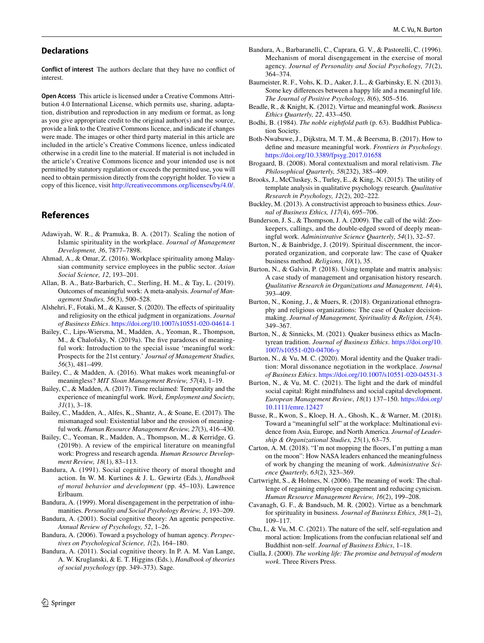### **Declarations**

**Conflict of interest** The authors declare that they have no confict of interest.

**Open Access** This article is licensed under a Creative Commons Attribution 4.0 International License, which permits use, sharing, adaptation, distribution and reproduction in any medium or format, as long as you give appropriate credit to the original author(s) and the source, provide a link to the Creative Commons licence, and indicate if changes were made. The images or other third party material in this article are included in the article's Creative Commons licence, unless indicated otherwise in a credit line to the material. If material is not included in the article's Creative Commons licence and your intended use is not permitted by statutory regulation or exceeds the permitted use, you will need to obtain permission directly from the copyright holder. To view a copy of this licence, visit <http://creativecommons.org/licenses/by/4.0/>.

# **References**

- <span id="page-21-15"></span>Adawiyah, W. R., & Pramuka, B. A. (2017). Scaling the notion of Islamic spirituality in the workplace. *Journal of Management Development, 36*, 7877–7898.
- <span id="page-21-14"></span>Ahmad, A., & Omar, Z. (2016). Workplace spirituality among Malaysian community service employees in the public sector. *Asian Social Science, 12*, 193–201.
- <span id="page-21-31"></span>Allan, B. A., Batz-Barbarich, C., Sterling, H. M., & Tay, L. (2019). Outcomes of meaningful work: A meta-analysis. *Journal of Management Studies, 56*(3), 500–528.
- <span id="page-21-34"></span>Alshehri, F., Fotaki, M., & Kauser, S. (2020). The effects of spirituality and religiosity on the ethical judgment in organizations. *Journal of Business Ethics*.<https://doi.org/10.1007/s10551-020-04614-1>
- <span id="page-21-0"></span>Bailey, C., Lips-Wiersma, M., Madden, A., Yeoman, R., Thompson, M., & Chalofsky, N. (2019a). The fve paradoxes of meaningful work: Introduction to the special issue 'meaningful work: Prospects for the 21st century.' *Journal of Management Studies, 56*(3), 481–499.
- <span id="page-21-4"></span>Bailey, C., & Madden, A. (2016). What makes work meaningful-or meaningless? *MIT Sloan Management Review, 57*(4), 1–19.
- <span id="page-21-24"></span>Bailey, C., & Madden, A. (2017). Time reclaimed: Temporality and the experience of meaningful work. *Work, Employment and Society, 31*(1), 3–18.
- <span id="page-21-9"></span>Bailey, C., Madden, A., Alfes, K., Shantz, A., & Soane, E. (2017). The mismanaged soul: Existential labor and the erosion of meaningful work. *Human Resource Management Review, 27*(3), 416–430.
- <span id="page-21-2"></span>Bailey, C., Yeoman, R., Madden, A., Thompson, M., & Kerridge, G. (2019b). A review of the empirical literature on meaningful work: Progress and research agenda. *Human Resource Development Review, 18*(1), 83–113.
- <span id="page-21-29"></span>Bandura, A. (1991). Social cognitive theory of moral thought and action. In W. M. Kurtines & J. L. Gewirtz (Eds.), *Handbook of moral behavior and development* (pp. 45–103). Lawrence Erlbaum.
- <span id="page-21-30"></span>Bandura, A. (1999). Moral disengagement in the perpetration of inhumanities. *Personality and Social Psychology Review, 3*, 193–209.
- <span id="page-21-27"></span>Bandura, A. (2001). Social cognitive theory: An agentic perspective. *Annual Review of Psychology, 52*, 1–26.
- <span id="page-21-28"></span>Bandura, A. (2006). Toward a psychology of human agency. *Perspectives on Psychological Science, 1*(2), 164–180.
- <span id="page-21-33"></span>Bandura, A. (2011). Social cognitive theory. In P. A. M. Van Lange, A. W. Kruglanski, & E. T. Higgins (Eds.), *Handbook of theories of social psychology* (pp. 349–373). Sage.
- <span id="page-21-32"></span>Bandura, A., Barbaranelli, C., Caprara, G. V., & Pastorelli, C. (1996). Mechanism of moral disengagement in the exercise of moral agency. *Journal of Personality and Social Psychology, 71*(2), 364–374.
- <span id="page-21-10"></span>Baumeister, R. F., Vohs, K. D., Aaker, J. L., & Garbinsky, E. N. (2013). Some key diferences between a happy life and a meaningful life. *The Journal of Positive Psychology, 8*(6), 505–516.
- <span id="page-21-3"></span>Beadle, R., & Knight, K. (2012). Virtue and meaningful work. *Business Ethics Quarterly, 22*, 433–450.
- <span id="page-21-16"></span>Bodhi, B. (1984). *The noble eightfold path* (p. 63). Buddhist Publication Society.
- <span id="page-21-1"></span>Both-Nwabuwe, J., Dijkstra, M. T. M., & Beersma, B. (2017). How to defne and measure meaningful work. *Frontiers in Psychology*. <https://doi.org/10.3389/fpsyg.2017.01658>
- <span id="page-21-26"></span>Brogaard, B. (2008). Moral contextualism and moral relativism. *The Philosophical Quarterly, 58*(232), 385–409.
- <span id="page-21-23"></span>Brooks, J., McCluskey, S., Turley, E., & King, N. (2015). The utility of template analysis in qualitative psychology research. *Qualitative Research in Psychology, 12*(2), 202–222.
- <span id="page-21-25"></span>Buckley, M. (2013). A constructivist approach to business ethics. *Journal of Business Ethics, 117*(4), 695–706.
- <span id="page-21-7"></span>Bunderson, J. S., & Thompson, J. A. (2009). The call of the wild: Zookeepers, callings, and the double-edged sword of deeply meaningful work. *Administrative Science Quarterly, 54*(1), 32–57.
- <span id="page-21-19"></span>Burton, N., & Bainbridge, J. (2019). Spiritual discernment, the incorporated organization, and corporate law: The case of Quaker business method. *Religions, 10*(1), 35.
- <span id="page-21-22"></span>Burton, N., & Galvin, P. (2018). Using template and matrix analysis: A case study of management and organisation history research. *Qualitative Research in Organizations and Management, 14*(4), 393–409.
- <span id="page-21-20"></span>Burton, N., Koning, J., & Muers, R. (2018). Organizational ethnography and religious organizations: The case of Quaker decisionmaking. *Journal of Management, Spirituality & Religion, 15*(4), 349–367.
- <span id="page-21-18"></span>Burton, N., & Sinnicks, M. (2021). Quaker business ethics as MacIntyrean tradition. *Journal of Business Ethics*. [https://doi.org/10.](https://doi.org/10.1007/s10551-020-04706-y) [1007/s10551-020-04706-y](https://doi.org/10.1007/s10551-020-04706-y)
- <span id="page-21-21"></span>Burton, N., & Vu, M. C. (2020). Moral identity and the Quaker tradition: Moral dissonance negotiation in the workplace. *Journal of Business Ethics*.<https://doi.org/10.1007/s10551-020-04531-3>
- <span id="page-21-17"></span>Burton, N., & Vu, M. C. (2021). The light and the dark of mindful social capital: Right mindfulness and social capital development. *European Management Review*, *18*(1) 137–150. [https://doi.org/](https://doi.org/10.1111/emre.12427) [10.1111/emre.12427](https://doi.org/10.1111/emre.12427)
- <span id="page-21-11"></span>Busse, R., Kwon, S., Kloep, H. A., Ghosh, K., & Warner, M. (2018). Toward a "meaningful self" at the workplace: Multinational evidence from Asia, Europe, and North America. *Journal of Leadership & Organizational Studies, 25*(1), 63–75.
- <span id="page-21-5"></span>Carton, A. M. (2018). "I'm not mopping the foors, I'm putting a man on the moon": How NASA leaders enhanced the meaningfulness of work by changing the meaning of work. *Administrative Science Quarterly, 63*(2), 323–369.
- <span id="page-21-8"></span>Cartwright, S., & Holmes, N. (2006). The meaning of work: The challenge of regaining employee engagement and reducing cynicism. *Human Resource Management Review, 16*(2), 199–208.
- <span id="page-21-13"></span>Cavanagh, G. F., & Bandsuch, M. R. (2002). Virtue as a benchmark for spirituality in business. *Journal of Business Ethics, 38*(1–2), 109–117.
- <span id="page-21-12"></span>Chu, I., & Vu, M. C. (2021). The nature of the self, self-regulation and moral action: Implications from the confucian relational self and Buddhist non-self. *Journal of Business Ethics*, 1–18.
- <span id="page-21-6"></span>Ciulla, J. (2000). *The working life: The promise and betrayal of modern work*. Three Rivers Press.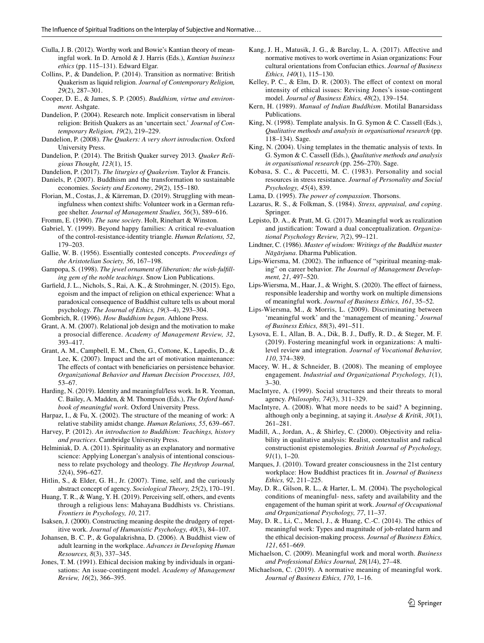- <span id="page-22-1"></span>Ciulla, J. B. (2012). Worthy work and Bowie's Kantian theory of meaningful work. In D. Arnold & J. Harris (Eds.), *Kantian business ethics* (pp. 115–131). Edward Elgar.
- <span id="page-22-33"></span>Collins, P., & Dandelion, P. (2014). Transition as normative: British Quakerism as liquid religion. *Journal of Contemporary Religion, 29*(2), 287–301.
- <span id="page-22-26"></span>Cooper, D. E., & James, S. P. (2005). *Buddhism, virtue and environment*. Ashgate.
- <span id="page-22-34"></span>Dandelion, P. (2004). Research note. Implicit conservatism in liberal religion: British Quakers as an 'uncertain sect.' *Journal of Contemporary Religion, 19*(2), 219–229.
- <span id="page-22-11"></span>Dandelion, P. (2008). *The Quakers: A very short introduction*. Oxford University Press.
- <span id="page-22-25"></span>Dandelion, P. (2014). The British Quaker survey 2013. *Quaker Religious Thought, 123*(1), 15.
- <span id="page-22-35"></span>Dandelion, P. (2017). *The liturgies of Quakerism*. Taylor & Francis.
- <span id="page-22-39"></span>Daniels, P. (2007). Buddhism and the transformation to sustainable economies. *Society and Economy*, *29*(2), 155–180.
- <span id="page-22-15"></span>Florian, M., Costas, J., & Kärreman, D. (2019). Struggling with meaningfulness when context shifts: Volunteer work in a German refugee shelter. *Journal of Management Studies, 56*(3), 589–616.
- <span id="page-22-17"></span>Fromm, E. (1990). *The sane society*. Holt, Rinehart & Winston.
- <span id="page-22-44"></span>Gabriel, Y. (1999). Beyond happy families: A critical re-evaluation of the control-resistance-identity triangle. *Human Relations, 52*, 179–203.
- <span id="page-22-0"></span>Gallie, W. B. (1956). Essentially contested concepts. *Proceedings of the Aristotelian Society, 56*, 167–198.
- <span id="page-22-41"></span>Gampopa, S. (1998). *The jewel ornament of liberation: the wish-fulflling gem of the noble teachings*. Snow Lion Publications.
- <span id="page-22-40"></span>Garfeld, J. L., Nichols, S., Rai, A. K., & Strohminger, N. (2015). Ego, egoism and the impact of religion on ethical experience: What a paradoxical consequence of Buddhist culture tells us about moral psychology. *The Journal of Ethics, 19*(3–4), 293–304.
- <span id="page-22-46"></span>Gombrich, R. (1996). *How Buddhism began*. Athlone Press.
- <span id="page-22-19"></span>Grant, A. M. (2007). Relational job design and the motivation to make a prosocial diference. *Academy of Management Review, 32*, 393–417.
- <span id="page-22-20"></span>Grant, A. M., Campbell, E. M., Chen, G., Cottone, K., Lapedis, D., & Lee, K. (2007). Impact and the art of motivation maintenance: The effects of contact with beneficiaries on persistence behavior. *Organizational Behavior and Human Decision Processes, 103*, 53–67.
- <span id="page-22-8"></span>Harding, N. (2019). Identity and meaningful/less work. In R. Yeoman, C. Bailey, A. Madden, & M. Thompson (Eds.), *The Oxford handbook of meaningful work.* Oxford University Press.
- <span id="page-22-21"></span>Harpaz, I., & Fu, X. (2002). The structure of the meaning of work: A relative stability amidst change. *Human Relations, 55*, 639–667.
- <span id="page-22-30"></span>Harvey, P. (2012). *An introduction to Buddhism: Teachings, history and practices*. Cambridge University Press.
- <span id="page-22-24"></span>Helminiak, D. A. (2011). Spirituality as an explanatory and normative science: Applying Lonergan's analysis of intentional consciousness to relate psychology and theology. *The Heythrop Journal, 52*(4), 596–627.
- <span id="page-22-47"></span>Hitlin, S., & Elder, G. H., Jr. (2007). Time, self, and the curiously abstract concept of agency. *Sociological Theory, 25*(2), 170–191.
- <span id="page-22-10"></span>Huang, T. R., & Wang, Y. H. (2019). Perceiving self, others, and events through a religious lens: Mahayana Buddhists vs. Christians. *Frontiers in Psychology, 10*, 217.
- <span id="page-22-13"></span>Isaksen, J. (2000). Constructing meaning despite the drudgery of repetitive work. *Journal of Humanistic Psychology, 40*(3), 84–107.
- <span id="page-22-27"></span>Johansen, B. C. P., & Gopalakrishna, D. (2006). A Buddhist view of adult learning in the workplace. *Advances in Developing Human Resources, 8*(3), 337–345.
- <span id="page-22-48"></span>Jones, T. M. (1991). Ethical decision making by individuals in organisations: An issue-contingent model. *Academy of Management Review, 16*(2), 366–395.
- <span id="page-22-23"></span>Kang, J. H., Matusik, J. G., & Barclay, L. A. (2017). Afective and normative motives to work overtime in Asian organizations: Four cultural orientations from Confucian ethics. *Journal of Business Ethics, 140*(1), 115–130.
- <span id="page-22-45"></span>Kelley, P. C., & Elm, D. R. (2003). The effect of context on moral intensity of ethical issues: Revising Jones's issue-contingent model. *Journal of Business Ethics, 48*(2), 139–154.
- <span id="page-22-31"></span>Kern, H. (1989). *Manual of Indian Buddhism*. Motilal Banarsidass Publications.
- <span id="page-22-36"></span>King, N. (1998). Template analysis. In G. Symon & C. Cassell (Eds.), *Qualitative methods and analysis in organisational research* (pp. 118–134). Sage.
- <span id="page-22-37"></span>King, N. (2004). Using templates in the thematic analysis of texts. In G. Symon & C. Cassell (Eds.), *Qualitative methods and analysis in organisational research* (pp. 256–270). Sage.
- <span id="page-22-14"></span>Kobasa, S. C., & Puccetti, M. C. (1983). Personality and social resources in stress resistance. *Journal of Personality and Social Psychology, 45*(4), 839.
- <span id="page-22-29"></span>Lama, D. (1995). *The power of compassion*. Thorsons.
- <span id="page-22-16"></span>Lazarus, R. S., & Folkman, S. (1984). *Stress, appraisal, and coping*. Springer.
- <span id="page-22-6"></span>Lepisto, D. A., & Pratt, M. G. (2017). Meaningful work as realization and justifcation: Toward a dual conceptualization. *Organizational Psychology Review, 7*(2), 99–121.
- <span id="page-22-32"></span>Lindtner, C. (1986). *Master of wisdom: Writings of the Buddhist master Nāgārjuna*. Dharma Publication.
- <span id="page-22-9"></span>Lips-Wiersma, M. (2002). The infuence of "spiritual meaning-making" on career behavior. *The Journal of Management Development, 21*, 497–520.
- <span id="page-22-2"></span>Lips-Wiersma, M., Haar, J., & Wright, S. (2020). The efect of fairness, responsible leadership and worthy work on multiple dimensions of meaningful work. *Journal of Business Ethics, 161*, 35–52.
- <span id="page-22-7"></span>Lips-Wiersma, M., & Morris, L. (2009). Discriminating between 'meaningful work' and the 'management of meaning.' *Journal of Business Ethics, 88*(3), 491–511.
- <span id="page-22-22"></span>Lysova, E. I., Allan, B. A., Dik, B. J., Dufy, R. D., & Steger, M. F. (2019). Fostering meaningful work in organizations: A multilevel review and integration. *Journal of Vocational Behavior, 110*, 374–389.
- <span id="page-22-12"></span>Macey, W. H., & Schneider, B. (2008). The meaning of employee engagement. *Industrial and Organizational Psychology, 1*(1), 3–30.
- <span id="page-22-42"></span>MacIntyre, A. (1999). Social structures and their threats to moral agency. *Philosophy, 74*(3), 311–329.
- <span id="page-22-43"></span>MacIntyre, A. (2008). What more needs to be said? A beginning, although only a beginning, at saying it. *Analyse & Kritik, 30*(1), 261–281.
- <span id="page-22-38"></span>Madill, A., Jordan, A., & Shirley, C. (2000). Objectivity and reliability in qualitative analysis: Realist, contextualist and radical constructionist epistemologies. *British Journal of Psychology, 91*(1), 1–20.
- <span id="page-22-28"></span>Marques, J. (2010). Toward greater consciousness in the 21st century workplace: How Buddhist practices ft in. *Journal of Business Ethics, 92*, 211–225.
- <span id="page-22-18"></span>May, D. R., Gilson, R. L., & Harter, L. M. (2004). The psychological conditions of meaningful- ness, safety and availability and the engagement of the human spirit at work. *Journal of Occupational and Organizational Psychology, 77*, 11–37.
- <span id="page-22-3"></span>May, D. R., Li, C., Mencl, J., & Huang, C.-C. (2014). The ethics of meaningful work: Types and magnitude of job-related harm and the ethical decision-making process. *Journal of Business Ethics, 121*, 651–669.
- <span id="page-22-4"></span>Michaelson, C. (2009). Meaningful work and moral worth. *Business and Professional Ethics Journal, 28*(1/4), 27–48.
- <span id="page-22-5"></span>Michaelson, C. (2019). A normative meaning of meaningful work. *Journal of Business Ethics, 170*, 1–16.